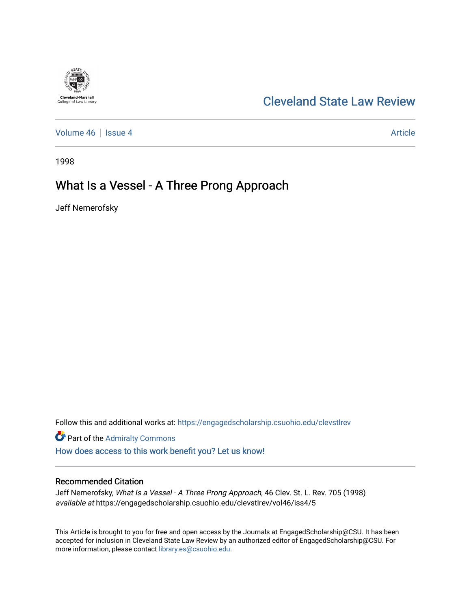# **Cleveland-Marshall**<br>College of Law Library

## [Cleveland State Law Review](https://engagedscholarship.csuohio.edu/clevstlrev)

[Volume 46](https://engagedscholarship.csuohio.edu/clevstlrev/vol46) | [Issue 4](https://engagedscholarship.csuohio.edu/clevstlrev/vol46/iss4) Article

1998

# What Is a Vessel - A Three Prong Approach

Jeff Nemerofsky

Follow this and additional works at: [https://engagedscholarship.csuohio.edu/clevstlrev](https://engagedscholarship.csuohio.edu/clevstlrev?utm_source=engagedscholarship.csuohio.edu%2Fclevstlrev%2Fvol46%2Fiss4%2F5&utm_medium=PDF&utm_campaign=PDFCoverPages)

**Part of the [Admiralty Commons](http://network.bepress.com/hgg/discipline/580?utm_source=engagedscholarship.csuohio.edu%2Fclevstlrev%2Fvol46%2Fiss4%2F5&utm_medium=PDF&utm_campaign=PDFCoverPages)** 

[How does access to this work benefit you? Let us know!](http://library.csuohio.edu/engaged/)

## Recommended Citation

Jeff Nemerofsky, What Is a Vessel - A Three Prong Approach, 46 Clev. St. L. Rev. 705 (1998) available at https://engagedscholarship.csuohio.edu/clevstlrev/vol46/iss4/5

This Article is brought to you for free and open access by the Journals at EngagedScholarship@CSU. It has been accepted for inclusion in Cleveland State Law Review by an authorized editor of EngagedScholarship@CSU. For more information, please contact [library.es@csuohio.edu](mailto:library.es@csuohio.edu).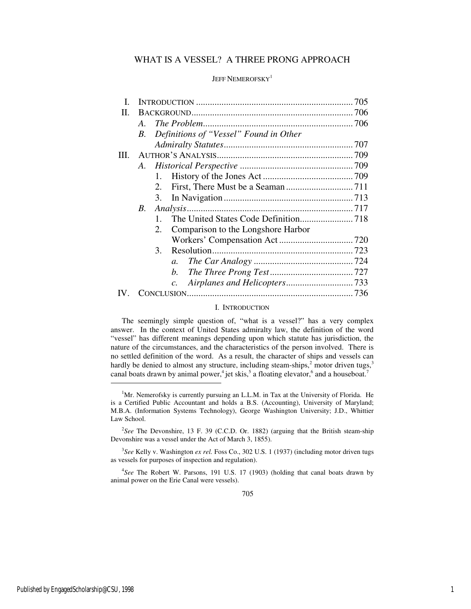### WHAT IS A VESSEL? A THREE PRONG APPROACH

#### JEFF NEMEROFSKY<sup>1</sup>

| L.   |    |                                          |  |
|------|----|------------------------------------------|--|
| П.   |    |                                          |  |
|      | A. |                                          |  |
|      | В. | Definitions of "Vessel" Found in Other   |  |
|      |    |                                          |  |
| III. |    |                                          |  |
|      |    |                                          |  |
|      |    | 1.                                       |  |
|      |    | 2.                                       |  |
|      |    | 3.                                       |  |
|      | В. |                                          |  |
|      |    | 1.                                       |  |
|      |    | 2.<br>Comparison to the Longshore Harbor |  |
|      |    |                                          |  |
|      |    | 3.                                       |  |
|      |    | $a_{\cdot}$                              |  |
|      |    | b.                                       |  |
|      |    | $\mathcal{C}$ .                          |  |
|      |    |                                          |  |

#### I. INTRODUCTION

The seemingly simple question of, "what is a vessel?" has a very complex answer. In the context of United States admiralty law, the definition of the word "vessel" has different meanings depending upon which statute has jurisdiction, the nature of the circumstances, and the characteristics of the person involved. There is no settled definition of the word. As a result, the character of ships and vessels can hardly be denied to almost any structure, including steam-ships, $2$  motor driven tugs,  $3$ canal boats drawn by animal power,<sup>4</sup> jet skis,<sup>5</sup> a floating elevator,<sup>6</sup> and a houseboat.<sup>7</sup>

3 *See* Kelly v. Washington *ex rel.* Foss Co., 302 U.S. 1 (1937) (including motor driven tugs as vessels for purposes of inspection and regulation).

4 *See* The Robert W. Parsons, 191 U.S. 17 (1903) (holding that canal boats drawn by animal power on the Erie Canal were vessels).

j

 $<sup>1</sup>$ Mr. Nemerofsky is currently pursuing an L.L.M. in Tax at the University of Florida. He</sup> is a Certified Public Accountant and holds a B.S. (Accounting), University of Maryland; M.B.A. (Information Systems Technology), George Washington University; J.D., Whittier Law School.

<sup>&</sup>lt;sup>2</sup>See The Devonshire, 13 F. 39 (C.C.D. Or. 1882) (arguing that the British steam-ship Devonshire was a vessel under the Act of March 3, 1855).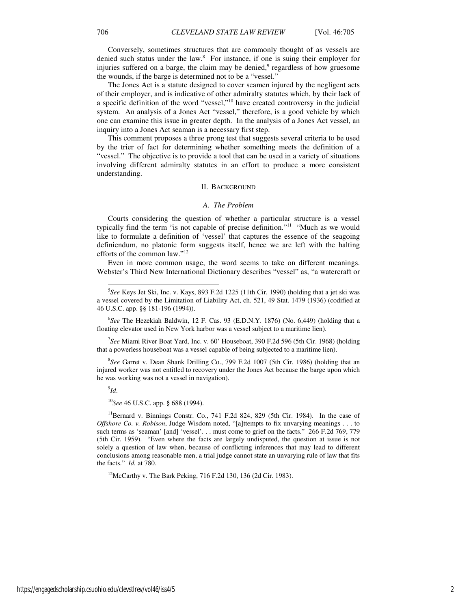Conversely, sometimes structures that are commonly thought of as vessels are denied such status under the law.<sup>8</sup> For instance, if one is suing their employer for injuries suffered on a barge, the claim may be denied,<sup>9</sup> regardless of how gruesome the wounds, if the barge is determined not to be a "vessel."

The Jones Act is a statute designed to cover seamen injured by the negligent acts of their employer, and is indicative of other admiralty statutes which, by their lack of a specific definition of the word "vessel,"<sup>10</sup> have created controversy in the judicial system. An analysis of a Jones Act "vessel," therefore, is a good vehicle by which one can examine this issue in greater depth. In the analysis of a Jones Act vessel, an inquiry into a Jones Act seaman is a necessary first step.

This comment proposes a three prong test that suggests several criteria to be used by the trier of fact for determining whether something meets the definition of a "vessel." The objective is to provide a tool that can be used in a variety of situations involving different admiralty statutes in an effort to produce a more consistent understanding.

#### II. BACKGROUND

#### *A. The Problem*

Courts considering the question of whether a particular structure is a vessel typically find the term "is not capable of precise definition."<sup>11</sup> "Much as we would like to formulate a definition of 'vessel' that captures the essence of the seagoing definiendum, no platonic form suggests itself, hence we are left with the halting efforts of the common law."<sup>12</sup>

Even in more common usage, the word seems to take on different meanings. Webster's Third New International Dictionary describes "vessel" as, "a watercraft or

6 *See* The Hezekiah Baldwin, 12 F. Cas. 93 (E.D.N.Y. 1876) (No. 6,449) (holding that a floating elevator used in New York harbor was a vessel subject to a maritime lien).

7 *See* Miami River Boat Yard, Inc. v. 60' Houseboat, 390 F.2d 596 (5th Cir. 1968) (holding that a powerless houseboat was a vessel capable of being subjected to a maritime lien).

8 *See* Garret v. Dean Shank Drilling Co., 799 F.2d 1007 (5th Cir. 1986) (holding that an injured worker was not entitled to recovery under the Jones Act because the barge upon which he was working was not a vessel in navigation).

9 *Id*.

-

<sup>10</sup>*See* 46 U.S.C. app. § 688 (1994).

 $11$ Bernard v. Binnings Constr. Co., 741 F.2d 824, 829 (5th Cir. 1984). In the case of *Offshore Co. v. Robison*, Judge Wisdom noted, "[a]ttempts to fix unvarying meanings . . . to such terms as 'seaman' [and] 'vessel'... must come to grief on the facts." 266 F.2d 769, 779 (5th Cir. 1959). "Even where the facts are largely undisputed, the question at issue is not solely a question of law when, because of conflicting inferences that may lead to different conclusions among reasonable men, a trial judge cannot state an unvarying rule of law that fits the facts." *Id.* at 780.

<sup>12</sup>McCarthy v. The Bark Peking, 716 F.2d 130, 136 (2d Cir. 1983).

<sup>5</sup> *See* Keys Jet Ski, Inc. v. Kays, 893 F.2d 1225 (11th Cir. 1990) (holding that a jet ski was a vessel covered by the Limitation of Liability Act, ch. 521, 49 Stat. 1479 (1936) (codified at 46 U.S.C. app. §§ 181-196 (1994)).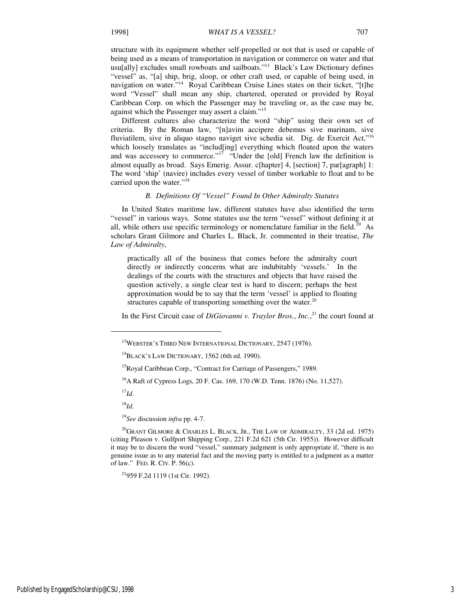structure with its equipment whether self-propelled or not that is used or capable of being used as a means of transportation in navigation or commerce on water and that usu[ally] excludes small rowboats and sailboats."<sup>13</sup> Black's Law Dictionary defines "vessel" as, "[a] ship, brig, sloop, or other craft used, or capable of being used, in navigation on water."<sup>14</sup> Royal Caribbean Cruise Lines states on their ticket, "[t]he word "Vessel" shall mean any ship, chartered, operated or provided by Royal Caribbean Corp. on which the Passenger may be traveling or, as the case may be, against which the Passenger may assert a claim."<sup>15</sup>

Different cultures also characterize the word "ship" using their own set of criteria. By the Roman law, "[n]avim accipere debemus sive marinam, sive fluviatilem, sive in aliquo stagno naviget sive schedia sit. Dig. de Exercit Act,"<sup>16</sup> which loosely translates as "includ[ing] everything which floated upon the waters and was accessory to commerce." $17$  "Under the [old] French law the definition is almost equally as broad. Says Emerig. Assur. c[hapter] 4, [section] 7, par[agraph] 1: The word 'ship' (navire) includes every vessel of timber workable to float and to be carried upon the water."<sup>18</sup>

#### *B. Definitions Of "Vessel" Found In Other Admiralty Statutes*

In United States maritime law, different statutes have also identified the term "vessel" in various ways. Some statutes use the term "vessel" without defining it at all, while others use specific terminology or nomenclature familiar in the field.<sup>19</sup> As scholars Grant Gilmore and Charles L. Black, Jr. commented in their treatise, *The Law of Admiralty*,

practically all of the business that comes before the admiralty court directly or indirectly concerns what are indubitably 'vessels.' In the dealings of the courts with the structures and objects that have raised the question actively, a single clear test is hard to discern; perhaps the best approximation would be to say that the term 'vessel' is applied to floating structures capable of transporting something over the water. $20$ 

In the First Circuit case of *DiGiovanni v. Traylor Bros.*, *Inc.*, <sup>21</sup> the court found at

<sup>17</sup>*Id*.

j

<sup>18</sup>*Id*.

<sup>19</sup>*See* discussion *infra* pp. 4-7.

<sup>21</sup>959 F.2d 1119 (1st Cir. 1992).

<sup>&</sup>lt;sup>13</sup>WEBSTER'S THIRD NEW INTERNATIONAL DICTIONARY, 2547 (1976).

<sup>&</sup>lt;sup>14</sup>BLACK'S LAW DICTIONARY, 1562 (6th ed. 1990).

<sup>&</sup>lt;sup>15</sup>Royal Caribbean Corp., "Contract for Carriage of Passengers," 1989.

<sup>&</sup>lt;sup>16</sup>A Raft of Cypress Logs, 20 F. Cas. 169, 170 (W.D. Tenn. 1876) (No. 11,527).

<sup>&</sup>lt;sup>20</sup>GRANT GILMORE & CHARLES L. BLACK, JR., THE LAW OF ADMIRALTY, 33 (2d ed. 1975) (citing Pleason v. Gulfport Shipping Corp., 221 F.2d 621 (5th Cir. 1955)). However difficult it may be to discern the word "vessel," summary judgment is only appropriate if, "there is no genuine issue as to any material fact and the moving party is entitled to a judgment as a matter of law." FED. R. CIV. P. 56(c).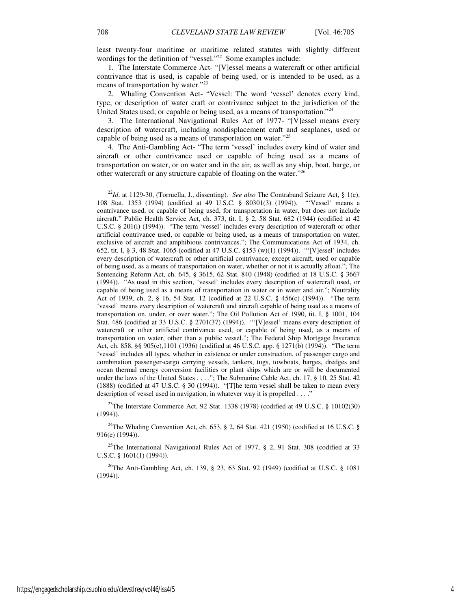least twenty-four maritime or maritime related statutes with slightly different wordings for the definition of "vessel."<sup>22</sup> Some examples include:

1. The Interstate Commerce Act- "[V]essel means a watercraft or other artificial contrivance that is used, is capable of being used, or is intended to be used, as a means of transportation by water."<sup>23</sup>

2. Whaling Convention Act- "Vessel: The word 'vessel' denotes every kind, type, or description of water craft or contrivance subject to the jurisdiction of the United States used, or capable or being used, as a means of transportation."<sup>24</sup>

3. The International Navigational Rules Act of 1977- "[V]essel means every description of watercraft, including nondisplacement craft and seaplanes, used or capable of being used as a means of transportation on water."<sup>25</sup>

4. The Anti-Gambling Act- "The term 'vessel' includes every kind of water and aircraft or other contrivance used or capable of being used as a means of transportation on water, or on water and in the air, as well as any ship, boat, barge, or other watercraft or any structure capable of floating on the water."<sup>26</sup>

<sup>23</sup>The Interstate Commerce Act, 92 Stat. 1338 (1978) (codified at 49 U.S.C.  $\S$  10102(30)  $(1994)$ .

<sup>24</sup>The Whaling Convention Act, ch. 653, § 2, 64 Stat. 421 (1950) (codified at 16 U.S.C. § 916(e) (1994)).

<sup>25</sup>The International Navigational Rules Act of 1977,  $\S$  2, 91 Stat. 308 (codified at 33 U.S.C. § 1601(1) (1994)).

<sup>26</sup>The Anti-Gambling Act, ch. 139, § 23, 63 Stat. 92 (1949) (codified at U.S.C. § 1081 (1994)).

1

<sup>22</sup>*Id*. at 1129-30, (Torruella, J., dissenting). *See also* The Contraband Seizure Act, § 1(e), 108 Stat. 1353 (1994) (codified at 49 U.S.C. § 80301(3) (1994)). "'Vessel' means a contrivance used, or capable of being used, for transportation in water, but does not include aircraft." Public Health Service Act, ch. 373, tit. I, § 2, 58 Stat. 682 (1944) (codified at 42 U.S.C. § 201(i) (1994)). "The term 'vessel' includes every description of watercraft or other artificial contrivance used, or capable or being used, as a means of transportation on water, exclusive of aircraft and amphibious contrivances."; The Communications Act of 1934, ch. 652, tit. I, § 3, 48 Stat. 1065 (codified at 47 U.S.C. §153 (w)(1) (1994)). "'[V]essel' includes every description of watercraft or other artificial contrivance, except aircraft, used or capable of being used, as a means of transportation on water, whether or not it is actually afloat."; The Sentencing Reform Act, ch. 645, § 3615, 62 Stat. 840 (1948) (codified at 18 U.S.C. § 3667 (1994)). "As used in this section, 'vessel' includes every description of watercraft used, or capable of being used as a means of transportation in water or in water and air."; Neutrality Act of 1939, ch. 2, § 16, 54 Stat. 12 (codified at 22 U.S.C. § 456(c) (1994)). "The term 'vessel' means every description of watercraft and aircraft capable of being used as a means of transportation on, under, or over water."; The Oil Pollution Act of 1990, tit. I, § 1001, 104 Stat. 486 (codified at 33 U.S.C. § 2701(37) (1994)). "'[V]essel' means every description of watercraft or other artificial contrivance used, or capable of being used, as a means of transportation on water, other than a public vessel."; The Federal Ship Mortgage Insurance Act, ch. 858, §§ 905(e),1101 (1936) (codified at 46 U.S.C. app. § 1271(b) (1994)). "The term 'vessel' includes all types, whether in existence or under construction, of passenger cargo and combination passenger-cargo carrying vessels, tankers, tugs, towboats, barges, dredges and ocean thermal energy conversion facilities or plant ships which are or will be documented under the laws of the United States . . . ."; The Submarine Cable Act, ch. 17, § 10, 25 Stat. 42 (1888) (codified at 47 U.S.C. § 30 (1994)). "[T]he term vessel shall be taken to mean every description of vessel used in navigation, in whatever way it is propelled . . . ."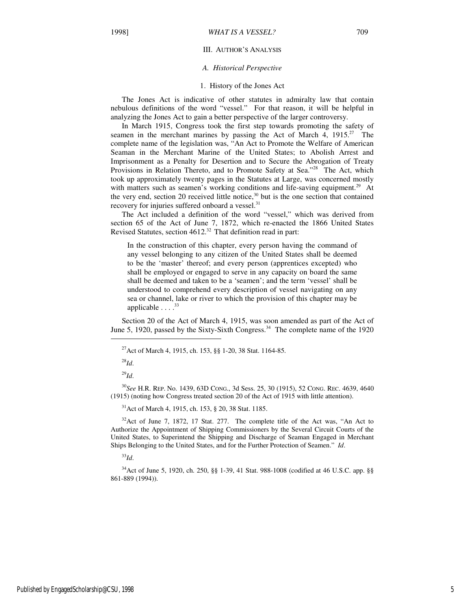#### III. AUTHOR'S ANALYSIS

#### *A. Historical Perspective*

#### 1. History of the Jones Act

The Jones Act is indicative of other statutes in admiralty law that contain nebulous definitions of the word "vessel." For that reason, it will be helpful in analyzing the Jones Act to gain a better perspective of the larger controversy.

In March 1915, Congress took the first step towards promoting the safety of seamen in the merchant marines by passing the Act of March 4, 1915.<sup>27</sup> The complete name of the legislation was, "An Act to Promote the Welfare of American Seaman in the Merchant Marine of the United States; to Abolish Arrest and Imprisonment as a Penalty for Desertion and to Secure the Abrogation of Treaty Provisions in Relation Thereto, and to Promote Safety at Sea."<sup>28</sup> The Act, which took up approximately twenty pages in the Statutes at Large, was concerned mostly with matters such as seamen's working conditions and life-saving equipment.<sup>29</sup> At the very end, section 20 received little notice, $30$  but is the one section that contained recovery for injuries suffered onboard a vessel.<sup>31</sup>

The Act included a definition of the word "vessel," which was derived from section 65 of the Act of June 7, 1872, which re-enacted the 1866 United States Revised Statutes, section  $4612.^{32}$  That definition read in part:

In the construction of this chapter, every person having the command of any vessel belonging to any citizen of the United States shall be deemed to be the 'master' thereof; and every person (apprentices excepted) who shall be employed or engaged to serve in any capacity on board the same shall be deemed and taken to be a 'seamen'; and the term 'vessel' shall be understood to comprehend every description of vessel navigating on any sea or channel, lake or river to which the provision of this chapter may be applicable  $\ldots$ <sup>33</sup>

Section 20 of the Act of March 4, 1915, was soon amended as part of the Act of June 5, 1920, passed by the Sixty-Sixth Congress.<sup>34</sup> The complete name of the 1920

<sup>28</sup>*Id*.

j

<sup>29</sup>*Id*.

<sup>30</sup>*See* H.R. REP. No. 1439, 63D CONG., 3d Sess. 25, 30 (1915), 52 CONG. REC. 4639, 4640 (1915) (noting how Congress treated section 20 of the Act of 1915 with little attention).

<sup>31</sup>Act of March 4, 1915, ch. 153, § 20, 38 Stat. 1185.

 $32$ Act of June 7, 1872, 17 Stat. 277. The complete title of the Act was, "An Act to Authorize the Appointment of Shipping Commissioners by the Several Circuit Courts of the United States, to Superintend the Shipping and Discharge of Seaman Engaged in Merchant Ships Belonging to the United States, and for the Further Protection of Seamen." *Id*.

<sup>33</sup>*Id*.

<sup>34</sup>Act of June 5, 1920, ch. 250, §§ 1-39, 41 Stat. 988-1008 (codified at 46 U.S.C. app. §§ 861-889 (1994)).

<sup>27</sup>Act of March 4, 1915, ch. 153, §§ 1-20, 38 Stat. 1164-85.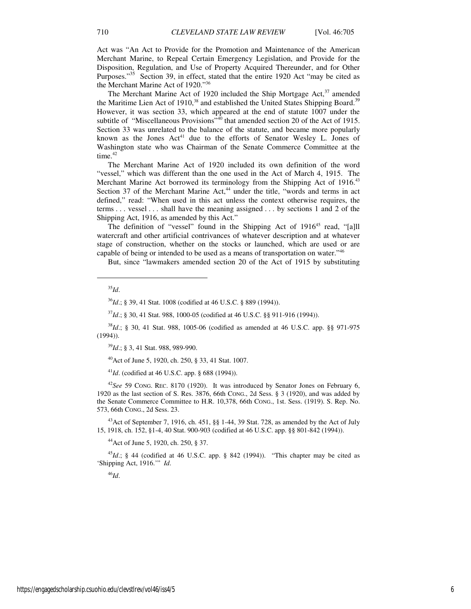Act was "An Act to Provide for the Promotion and Maintenance of the American Merchant Marine, to Repeal Certain Emergency Legislation, and Provide for the Disposition, Regulation, and Use of Property Acquired Thereunder, and for Other Purposes."<sup>35</sup> Section 39, in effect, stated that the entire 1920 Act "may be cited as the Merchant Marine Act of 1920."<sup>36</sup>

The Merchant Marine Act of 1920 included the Ship Mortgage Act, $37$  amended the Maritime Lien Act of 1910,<sup>38</sup> and established the United States Shipping Board.<sup>39</sup> However, it was section 33, which appeared at the end of statute 1007 under the subtitle of "Miscellaneous Provisions"<sup>40</sup> that amended section 20 of the Act of 1915. Section 33 was unrelated to the balance of the statute, and became more popularly known as the Jones Act<sup>41</sup> due to the efforts of Senator Wesley L. Jones of Washington state who was Chairman of the Senate Commerce Committee at the time. $42$ 

The Merchant Marine Act of 1920 included its own definition of the word "vessel," which was different than the one used in the Act of March 4, 1915. The Merchant Marine Act borrowed its terminology from the Shipping Act of 1916.<sup>43</sup> Section 37 of the Merchant Marine Act,<sup>44</sup> under the title, "words and terms in act defined," read: "When used in this act unless the context otherwise requires, the terms . . . vessel . . . shall have the meaning assigned . . . by sections 1 and 2 of the Shipping Act, 1916, as amended by this Act."

The definition of "vessel" found in the Shipping Act of 1916<sup>45</sup> read, "[a]ll watercraft and other artificial contrivances of whatever description and at whatever stage of construction, whether on the stocks or launched, which are used or are capable of being or intended to be used as a means of transportation on water."<sup>46</sup>

But, since "lawmakers amended section 20 of the Act of 1915 by substituting

<sup>35</sup>*Id*.

 $\overline{a}$ 

<sup>36</sup>*Id*.; § 39, 41 Stat. 1008 (codified at 46 U.S.C. § 889 (1994)).

<sup>37</sup>*Id*.; § 30, 41 Stat. 988, 1000-05 (codified at 46 U.S.C. §§ 911-916 (1994)).

<sup>38</sup>*Id*.; § 30, 41 Stat. 988, 1005-06 (codified as amended at 46 U.S.C. app. §§ 971-975 (1994)).

<sup>39</sup>*Id*.; § 3, 41 Stat. 988, 989-990.

<sup>40</sup>Act of June 5, 1920, ch. 250, § 33, 41 Stat. 1007.

<sup>41</sup>*Id*. (codified at 46 U.S.C. app. § 688 (1994)).

<sup>42</sup>*See* 59 CONG. REC. 8170 (1920). It was introduced by Senator Jones on February 6, 1920 as the last section of S. Res. 3876, 66th CONG., 2d Sess. § 3 (1920), and was added by the Senate Commerce Committee to H.R. 10,378, 66th CONG., 1st. Sess. (1919). S. Rep. No. 573, 66th CONG., 2d Sess. 23.

<sup>43</sup>Act of September 7, 1916, ch. 451, §§ 1-44, 39 Stat. 728, as amended by the Act of July 15, 1918, ch. 152, §1-4, 40 Stat. 900-903 (codified at 46 U.S.C. app. §§ 801-842 (1994)).

<sup>44</sup>Act of June 5, 1920, ch. 250, § 37.

<sup>45</sup>Id.; § 44 (codified at 46 U.S.C. app. § 842 (1994)). "This chapter may be cited as 'Shipping Act, 1916.'" *Id*.

<sup>46</sup>*Id*.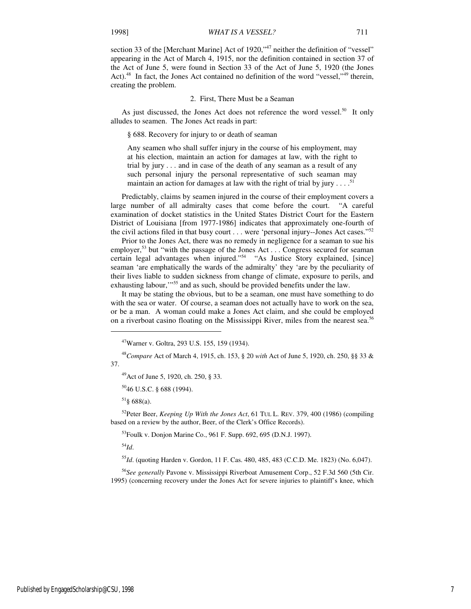section 33 of the [Merchant Marine] Act of 1920,"<sup>47</sup> neither the definition of "vessel" appearing in the Act of March 4, 1915, nor the definition contained in section 37 of the Act of June 5, were found in Section 33 of the Act of June 5, 1920 (the Jones Act).<sup>48</sup> In fact, the Jones Act contained no definition of the word "vessel,"<sup>49</sup> therein, creating the problem.

#### 2. First, There Must be a Seaman

As just discussed, the Jones Act does not reference the word vessel.<sup>50</sup> It only alludes to seamen. The Jones Act reads in part:

§ 688. Recovery for injury to or death of seaman

Any seamen who shall suffer injury in the course of his employment, may at his election, maintain an action for damages at law, with the right to trial by jury . . . and in case of the death of any seaman as a result of any such personal injury the personal representative of such seaman may maintain an action for damages at law with the right of trial by jury  $\dots$ <sup>51</sup>

Predictably, claims by seamen injured in the course of their employment covers a large number of all admiralty cases that come before the court. "A careful examination of docket statistics in the United States District Court for the Eastern District of Louisiana [from 1977-1986] indicates that approximately one-fourth of the civil actions filed in that busy court . . . were 'personal injury--Jones Act cases."<sup>52</sup>

Prior to the Jones Act, there was no remedy in negligence for a seaman to sue his employer,<sup>53</sup> but "with the passage of the Jones Act . . . Congress secured for seaman certain legal advantages when injured."<sup>54</sup> "As Justice Story explained, [since] seaman 'are emphatically the wards of the admiralty' they 'are by the peculiarity of their lives liable to sudden sickness from change of climate, exposure to perils, and exhausting labour,"<sup>55</sup> and as such, should be provided benefits under the law.

It may be stating the obvious, but to be a seaman, one must have something to do with the sea or water. Of course, a seaman does not actually have to work on the sea, or be a man. A woman could make a Jones Act claim, and she could be employed on a riverboat casino floating on the Mississippi River, miles from the nearest sea.<sup>56</sup>

 $51\$ § 688(a).

<sup>52</sup>Peter Beer, *Keeping Up With the Jones Act*, 61 TUL L. REV. 379, 400 (1986) (compiling based on a review by the author, Beer, of the Clerk's Office Records).

<sup>53</sup>Foulk v. Donjon Marine Co., 961 F. Supp. 692, 695 (D.N.J. 1997).

<sup>54</sup>*Id*.

j

<sup>55</sup>*Id*. (quoting Harden v. Gordon, 11 F. Cas. 480, 485, 483 (C.C.D. Me. 1823) (No. 6,047).

<sup>56</sup>*See generally* Pavone v. Mississippi Riverboat Amusement Corp., 52 F.3d 560 (5th Cir. 1995) (concerning recovery under the Jones Act for severe injuries to plaintiff's knee, which

<sup>47</sup>Warner v. Goltra, 293 U.S. 155, 159 (1934).

<sup>48</sup>*Compare* Act of March 4, 1915, ch. 153, § 20 *with* Act of June 5, 1920, ch. 250, §§ 33 & 37.

<sup>49</sup>Act of June 5, 1920, ch. 250, § 33.

<sup>50</sup>46 U.S.C. § 688 (1994).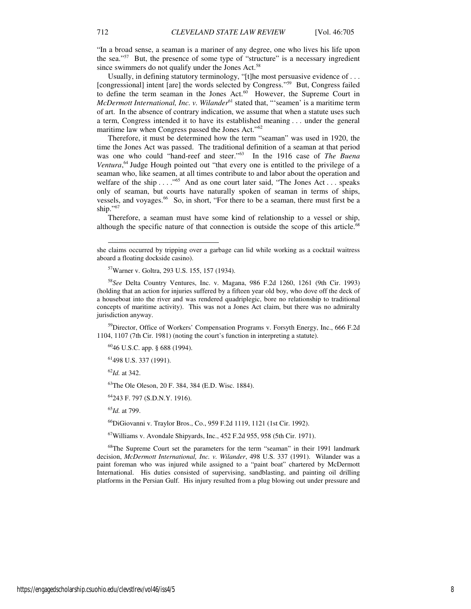"In a broad sense, a seaman is a mariner of any degree, one who lives his life upon the sea."<sup>57</sup> But, the presence of some type of "structure" is a necessary ingredient since swimmers do not qualify under the Jones Act.<sup>58</sup>

Usually, in defining statutory terminology, "[t]he most persuasive evidence of . . . [congressional] intent [are] the words selected by Congress."<sup>59</sup> But, Congress failed to define the term seaman in the Jones Act.<sup>60</sup> However, the Supreme Court in *McDermott International, Inc. v. Wilander*<sup>61</sup> stated that, "'seamen' is a maritime term of art. In the absence of contrary indication, we assume that when a statute uses such a term, Congress intended it to have its established meaning . . . under the general maritime law when Congress passed the Jones Act."<sup>62</sup>

Therefore, it must be determined how the term "seaman" was used in 1920, the time the Jones Act was passed. The traditional definition of a seaman at that period was one who could "hand-reef and steer."<sup>63</sup> In the 1916 case of *The Buena*  Ventura,<sup>64</sup> Judge Hough pointed out "that every one is entitled to the privilege of a seaman who, like seamen, at all times contribute to and labor about the operation and welfare of the ship . . . . "<sup>65</sup> And as one court later said, "The Jones Act . . . speaks only of seaman, but courts have naturally spoken of seaman in terms of ships, vessels, and voyages.<sup>66</sup> So, in short, "For there to be a seaman, there must first be a ship."67

Therefore, a seaman must have some kind of relationship to a vessel or ship, although the specific nature of that connection is outside the scope of this article.<sup>68</sup>

<sup>59</sup>Director, Office of Workers' Compensation Programs v. Forsyth Energy, Inc., 666 F.2d 1104, 1107 (7th Cir. 1981) (noting the court's function in interpreting a statute).

<sup>60</sup>46 U.S.C. app. § 688 (1994).

<sup>61</sup>498 U.S. 337 (1991).

<sup>62</sup>*Id.* at 342.

l

<sup>63</sup>The Ole Oleson, 20 F. 384, 384 (E.D. Wisc. 1884).

<sup>64</sup>243 F. 797 (S.D.N.Y. 1916).

<sup>65</sup>*Id.* at 799.

<sup>66</sup>DiGiovanni v. Traylor Bros., Co., 959 F.2d 1119, 1121 (1st Cir. 1992).

<sup>67</sup>Williams v. Avondale Shipyards, Inc., 452 F.2d 955, 958 (5th Cir. 1971).

<sup>68</sup>The Supreme Court set the parameters for the term "seaman" in their 1991 landmark decision, *McDermott International, Inc. v. Wilander*, 498 U.S. 337 (1991). Wilander was a paint foreman who was injured while assigned to a "paint boat" chartered by McDermott International. His duties consisted of supervising, sandblasting, and painting oil drilling platforms in the Persian Gulf. His injury resulted from a plug blowing out under pressure and

she claims occurred by tripping over a garbage can lid while working as a cocktail waitress aboard a floating dockside casino).

<sup>57</sup>Warner v. Goltra, 293 U.S. 155, 157 (1934).

<sup>58</sup>*See* Delta Country Ventures, Inc. v. Magana, 986 F.2d 1260, 1261 (9th Cir. 1993) (holding that an action for injuries suffered by a fifteen year old boy, who dove off the deck of a houseboat into the river and was rendered quadriplegic, bore no relationship to traditional concepts of maritime activity). This was not a Jones Act claim, but there was no admiralty jurisdiction anyway.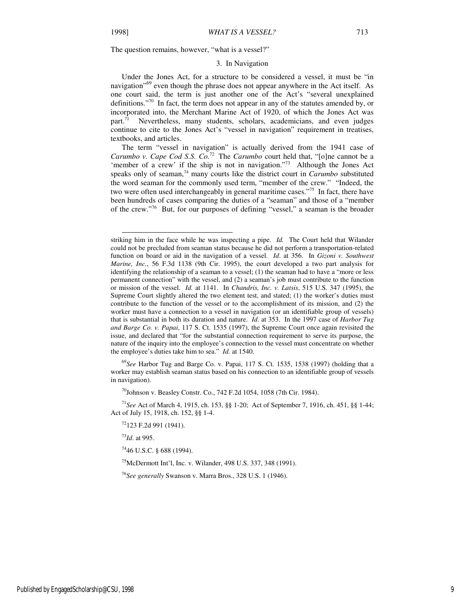l

#### 3. In Navigation

Under the Jones Act, for a structure to be considered a vessel, it must be "in navigation<sup>"69</sup> even though the phrase does not appear anywhere in the Act itself. As one court said, the term is just another one of the Act's "several unexplained definitions."<sup>70</sup> In fact, the term does not appear in any of the statutes amended by, or incorporated into, the Merchant Marine Act of 1920, of which the Jones Act was part.<sup>71</sup> Nevertheless, many students, scholars, academicians, and even judges continue to cite to the Jones Act's "vessel in navigation" requirement in treatises, textbooks, and articles.

The term "vessel in navigation" is actually derived from the 1941 case of *Carumbo v. Cape Cod S.S. Co.*<sup>72</sup> The *Carumbo* court held that, "[o]ne cannot be a 'member of a crew' if the ship is not in navigation."<sup>73</sup> Although the Jones Act speaks only of seaman,<sup>74</sup> many courts like the district court in *Carumbo* substituted the word seaman for the commonly used term, "member of the crew." "Indeed, the two were often used interchangeably in general maritime cases."<sup>75</sup> In fact, there have been hundreds of cases comparing the duties of a "seaman" and those of a "member of the crew."<sup>76</sup> But, for our purposes of defining "vessel," a seaman is the broader

<sup>69</sup>*See* Harbor Tug and Barge Co. v. Papai, 117 S. Ct. 1535, 1538 (1997) (holding that a worker may establish seaman status based on his connection to an identifiable group of vessels in navigation).

 $^{70}$ Johnson v. Beasley Constr. Co., 742 F.2d 1054, 1058 (7th Cir. 1984).

<sup>71</sup>*See* Act of March 4, 1915, ch. 153, §§ 1-20; Act of September 7, 1916, ch. 451, §§ 1-44; Act of July 15, 1918, ch. 152, §§ 1-4.

 $72$ 123 F.2d 991 (1941).

<sup>73</sup>*Id*. at 995.

 $^{74}$ 46 U.S.C. § 688 (1994).

<sup>75</sup>McDermott Int'l, Inc. v. Wilander, 498 U.S. 337, 348 (1991).

<sup>76</sup>*See generally* Swanson v. Marra Bros., 328 U.S. 1 (1946).

Published by EngagedScholarship@CSU, 1998 9

striking him in the face while he was inspecting a pipe. *Id.* The Court held that Wilander could not be precluded from seaman status because he did not perform a transportation-related function on board or aid in the navigation of a vessel. *Id*. at 356. In *Gizoni v. Southwest Marine, Inc.*, 56 F.3d 1138 (9th Cir. 1995), the court developed a two part analysis for identifying the relationship of a seaman to a vessel; (1) the seaman had to have a "more or less permanent connection" with the vessel, and (2) a seaman's job must contribute to the function or mission of the vessel. *Id.* at 1141. In *Chandris, Inc. v. Latsis*, 515 U.S. 347 (1995), the Supreme Court slightly altered the two element test, and stated; (1) the worker's duties must contribute to the function of the vessel or to the accomplishment of its mission, and (2) the worker must have a connection to a vessel in navigation (or an identifiable group of vessels) that is substantial in both its duration and nature. *Id.* at 353. In the 1997 case of *Harbor Tug and Barge Co. v. Papai*, 117 S. Ct. 1535 (1997), the Supreme Court once again revisited the issue, and declared that "for the substantial connection requirement to serve its purpose, the nature of the inquiry into the employee's connection to the vessel must concentrate on whether the employee's duties take him to sea." *Id.* at 1540.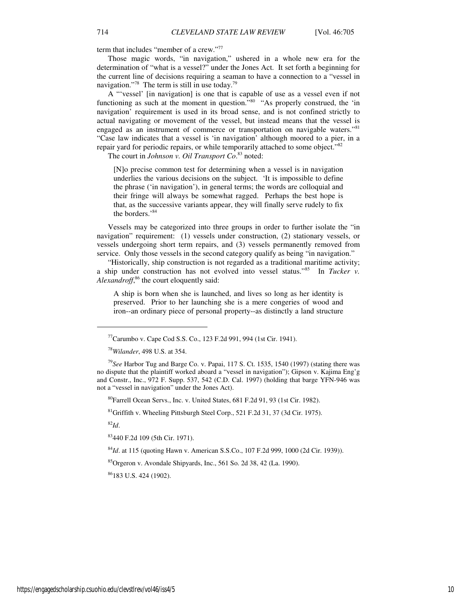term that includes "member of a crew."<sup>77</sup>

Those magic words, "in navigation," ushered in a whole new era for the determination of "what is a vessel?" under the Jones Act. It set forth a beginning for the current line of decisions requiring a seaman to have a connection to a "vessel in navigation."<sup>78</sup> The term is still in use today.<sup>79</sup>

A "'vessel' [in navigation] is one that is capable of use as a vessel even if not functioning as such at the moment in question.<sup>580</sup> "As properly construed, the 'in navigation' requirement is used in its broad sense, and is not confined strictly to actual navigating or movement of the vessel, but instead means that the vessel is engaged as an instrument of commerce or transportation on navigable waters."<sup>81</sup> "Case law indicates that a vessel is 'in navigation' although moored to a pier, in a repair yard for periodic repairs, or while temporarily attached to some object."<sup>82</sup>

The court in *Johnson v. Oil Transport Co*. <sup>83</sup> noted:

[N]o precise common test for determining when a vessel is in navigation underlies the various decisions on the subject. 'It is impossible to define the phrase ('in navigation'), in general terms; the words are colloquial and their fringe will always be somewhat ragged. Perhaps the best hope is that, as the successive variants appear, they will finally serve rudely to fix the borders.'<sup>84</sup>

Vessels may be categorized into three groups in order to further isolate the "in navigation" requirement: (1) vessels under construction, (2) stationary vessels, or vessels undergoing short term repairs, and (3) vessels permanently removed from service. Only those vessels in the second category qualify as being "in navigation."

"Historically, ship construction is not regarded as a traditional maritime activity; a ship under construction has not evolved into vessel status."<sup>85</sup> In *Tucker v.*  Alexandroff,<sup>86</sup> the court eloquently said:

A ship is born when she is launched, and lives so long as her identity is preserved. Prior to her launching she is a mere congeries of wood and iron--an ordinary piece of personal property--as distinctly a land structure

<sup>80</sup>Farrell Ocean Servs., Inc. v. United States, 681 F.2d 91, 93 (1st Cir. 1982).

<sup>81</sup>Griffith v. Wheeling Pittsburgh Steel Corp., 521 F.2d 31, 37 (3d Cir. 1975).

<sup>82</sup>*Id*.

j

<sup>83</sup>440 F.2d 109 (5th Cir. 1971).

<sup>84</sup>*Id*. at 115 (quoting Hawn v. American S.S.Co., 107 F.2d 999, 1000 (2d Cir. 1939)).

 ${}^{85}$ Orgeron v. Avondale Shipyards, Inc., 561 So. 2d 38, 42 (La. 1990).

<sup>86</sup>183 U.S. 424 (1902).

 $^{77}$ Carumbo v. Cape Cod S.S. Co., 123 F.2d 991, 994 (1st Cir. 1941).

<sup>78</sup>*Wilander*, 498 U.S. at 354.

<sup>79</sup>*See* Harbor Tug and Barge Co. v. Papai, 117 S. Ct. 1535, 1540 (1997) (stating there was no dispute that the plaintiff worked aboard a "vessel in navigation"); Gipson v. Kajima Eng'g and Constr., Inc., 972 F. Supp. 537, 542 (C.D. Cal. 1997) (holding that barge YFN-946 was not a "vessel in navigation" under the Jones Act).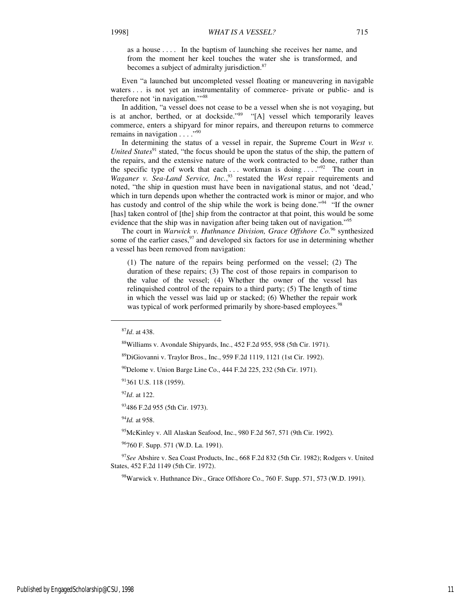as a house . . . . In the baptism of launching she receives her name, and from the moment her keel touches the water she is transformed, and becomes a subject of admiralty jurisdiction.<sup>87</sup>

Even "a launched but uncompleted vessel floating or maneuvering in navigable waters . . . is not yet an instrumentality of commerce- private or public- and is therefore not 'in navigation."<sup>88</sup>

In addition, "a vessel does not cease to be a vessel when she is not voyaging, but is at anchor, berthed, or at dockside."<sup>89</sup> "[A] vessel which temporarily leaves commerce, enters a shipyard for minor repairs, and thereupon returns to commerce remains in navigation  $\ldots$ ."<sup>90</sup>

In determining the status of a vessel in repair, the Supreme Court in *West v. United States*<sup>91</sup> stated, "the focus should be upon the status of the ship, the pattern of the repairs, and the extensive nature of the work contracted to be done, rather than the specific type of work that each ... workman is doing ... ."<sup>92</sup> The court in *Waganer v. Sea-Land Service, Inc.*, <sup>93</sup> restated the *West* repair requirements and noted, "the ship in question must have been in navigational status, and not 'dead,' which in turn depends upon whether the contracted work is minor or major, and who has custody and control of the ship while the work is being done."<sup>94</sup> "If the owner [has] taken control of [the] ship from the contractor at that point, this would be some evidence that the ship was in navigation after being taken out of navigation."<sup>95</sup>

The court in *Warwick v. Huthnance Division, Grace Offshore Co.*<sup>96</sup> synthesized some of the earlier cases,  $97$  and developed six factors for use in determining whether a vessel has been removed from navigation:

(1) The nature of the repairs being performed on the vessel; (2) The duration of these repairs; (3) The cost of those repairs in comparison to the value of the vessel; (4) Whether the owner of the vessel has relinquished control of the repairs to a third party; (5) The length of time in which the vessel was laid up or stacked; (6) Whether the repair work was typical of work performed primarily by shore-based employees.<sup>98</sup>

j

<sup>92</sup>*Id*. at 122.

<sup>93</sup>486 F.2d 955 (5th Cir. 1973).

<sup>94</sup>*Id.* at 958.

 $^{95}$ McKinley v. All Alaskan Seafood, Inc., 980 F.2d 567, 571 (9th Cir. 1992).

<sup>96</sup>760 F. Supp. 571 (W.D. La. 1991).

<sup>97</sup>*See* Abshire v. Sea Coast Products, Inc., 668 F.2d 832 (5th Cir. 1982); Rodgers v. United States, 452 F.2d 1149 (5th Cir. 1972).

<sup>98</sup>Warwick v. Huthnance Div., Grace Offshore Co., 760 F. Supp. 571, 573 (W.D. 1991).

<sup>87</sup>*Id*. at 438.

<sup>88</sup>Williams v. Avondale Shipyards, Inc., 452 F.2d 955, 958 (5th Cir. 1971).

<sup>89</sup>DiGiovanni v. Traylor Bros., Inc., 959 F.2d 1119, 1121 (1st Cir. 1992).

 $^{90}$ Delome v. Union Barge Line Co., 444 F.2d 225, 232 (5th Cir. 1971).

<sup>91361</sup> U.S. 118 (1959).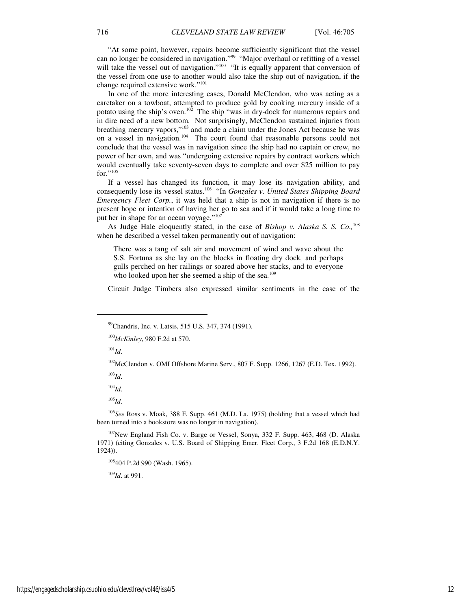"At some point, however, repairs become sufficiently significant that the vessel can no longer be considered in navigation."<sup>99</sup> "Major overhaul or refitting of a vessel will take the vessel out of navigation."<sup>100</sup> "It is equally apparent that conversion of the vessel from one use to another would also take the ship out of navigation, if the change required extensive work."<sup>101</sup>

In one of the more interesting cases, Donald McClendon, who was acting as a caretaker on a towboat, attempted to produce gold by cooking mercury inside of a potato using the ship's oven.<sup>102</sup> The ship "was in dry-dock for numerous repairs and in dire need of a new bottom. Not surprisingly, McClendon sustained injuries from breathing mercury vapors,"<sup>103</sup> and made a claim under the Jones Act because he was on a vessel in navigation.<sup>104</sup> The court found that reasonable persons could not conclude that the vessel was in navigation since the ship had no captain or crew, no power of her own, and was "undergoing extensive repairs by contract workers which would eventually take seventy-seven days to complete and over \$25 million to pay for."105

If a vessel has changed its function, it may lose its navigation ability, and consequently lose its vessel status.<sup>106</sup> "In *Gonzales v. United States Shipping Board Emergency Fleet Corp.*, it was held that a ship is not in navigation if there is no present hope or intention of having her go to sea and if it would take a long time to put her in shape for an ocean voyage."<sup>107</sup>

As Judge Hale eloquently stated, in the case of *Bishop v. Alaska S. S. Co.,*<sup>108</sup> when he described a vessel taken permanently out of navigation:

There was a tang of salt air and movement of wind and wave about the S.S. Fortuna as she lay on the blocks in floating dry dock*,* and perhaps gulls perched on her railings or soared above her stacks, and to everyone who looked upon her she seemed a ship of the sea.<sup>109</sup>

Circuit Judge Timbers also expressed similar sentiments in the case of the

 $^{101}$ *Id.* 

-

<sup>102</sup>McClendon v. OMI Offshore Marine Serv., 807 F. Supp. 1266, 1267 (E.D. Tex. 1992).

<sup>103</sup>*Id*.

<sup>104</sup>*Id*.

<sup>105</sup>*Id*.

<sup>106</sup>*See* Ross v. Moak, 388 F. Supp. 461 (M.D. La. 1975) (holding that a vessel which had been turned into a bookstore was no longer in navigation).

<sup>107</sup>New England Fish Co. v. Barge or Vessel, Sonya, 332 F. Supp. 463, 468 (D. Alaska 1971) (citing Gonzales v. U.S. Board of Shipping Emer. Fleet Corp., 3 F.2d 168 (E.D.N.Y. 1924)).

<sup>108</sup>404 P.2d 990 (Wash. 1965).

<sup>109</sup>*Id*. at 991.

<sup>&</sup>lt;sup>99</sup>Chandris, Inc. v. Latsis, 515 U.S. 347, 374 (1991).

<sup>100</sup>*McKinley*, 980 F.2d at 570.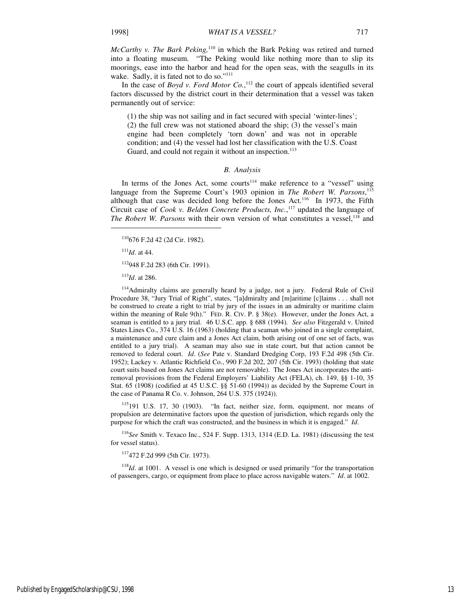*McCarthy v. The Bark Peking,*<sup>110</sup> in which the Bark Peking was retired and turned into a floating museum. "The Peking would like nothing more than to slip its moorings, ease into the harbor and head for the open seas, with the seagulls in its wake. Sadly, it is fated not to do so."<sup>111</sup>

In the case of *Boyd v. Ford Motor Co.*,<sup>112</sup> the court of appeals identified several factors discussed by the district court in their determination that a vessel was taken permanently out of service:

(1) the ship was not sailing and in fact secured with special 'winter-lines'; (2) the full crew was not stationed aboard the ship; (3) the vessel's main engine had been completely 'torn down' and was not in operable condition; and (4) the vessel had lost her classification with the U.S. Coast Guard, and could not regain it without an inspection.<sup>113</sup>

#### *B. Analysis*

In terms of the Jones Act, some courts<sup>114</sup> make reference to a "vessel" using language from the Supreme Court's 1903 opinion in *The Robert W. Parsons*, 115 although that case was decided long before the Jones Act.<sup>116</sup> In 1973, the Fifth Circuit case of *Cook v. Belden Concrete Products, Inc.*,<sup>117</sup> updated the language of *The Robert W. Parsons* with their own version of what constitutes a vessel,<sup>118</sup> and

<sup>110</sup>676 F.2d 42 (2d Cir. 1982).

<sup>111</sup>*Id*. at 44.

1

<sup>112</sup>948 F.2d 283 (6th Cir. 1991).

<sup>113</sup>*Id*. at 286.

<sup>114</sup>Admiralty claims are generally heard by a judge, not a jury. Federal Rule of Civil Procedure 38, "Jury Trial of Right", states, "[a]dmiralty and [m]aritime [c]laims . . . shall not be construed to create a right to trial by jury of the issues in an admiralty or maritime claim within the meaning of Rule 9(h)." FED. R. CIV. P.  $\S$  38(e). However, under the Jones Act, a seaman is entitled to a jury trial. 46 U.S.C. app. § 688 (1994). *See also* Fitzgerald v. United States Lines Co., 374 U.S. 16 (1963) (holding that a seaman who joined in a single complaint, a maintenance and cure claim and a Jones Act claim, both arising out of one set of facts, was entitled to a jury trial). A seaman may also sue in state court, but that action cannot be removed to federal court. *Id*. (*See* Pate v. Standard Dredging Corp, 193 F.2d 498 (5th Cir. 1952); Lackey v. Atlantic Richfield Co., 990 F.2d 202, 207 (5th Cir. 1993) (holding that state court suits based on Jones Act claims are not removable). The Jones Act incorporates the antiremoval provisions from the Federal Employers' Liability Act (FELA), ch. 149, §§ 1-10, 35 Stat. 65 (1908) (codified at 45 U.S.C. §§ 51-60 (1994)) as decided by the Supreme Court in the case of Panama R Co. v. Johnson, 264 U.S. 375 (1924)).

<sup>115</sup>191 U.S. 17, 30 (1903). "In fact, neither size, form, equipment, nor means of propulsion are determinative factors upon the question of jurisdiction, which regards only the purpose for which the craft was constructed, and the business in which it is engaged." *Id*.

<sup>116</sup>*See* Smith v. Texaco Inc., 524 F. Supp. 1313, 1314 (E.D. La. 1981) (discussing the test for vessel status).

<sup>117</sup>472 F.2d 999 (5th Cir. 1973).

<sup>118</sup>*Id*. at 1001. A vessel is one which is designed or used primarily "for the transportation of passengers, cargo, or equipment from place to place across navigable waters." *Id*. at 1002.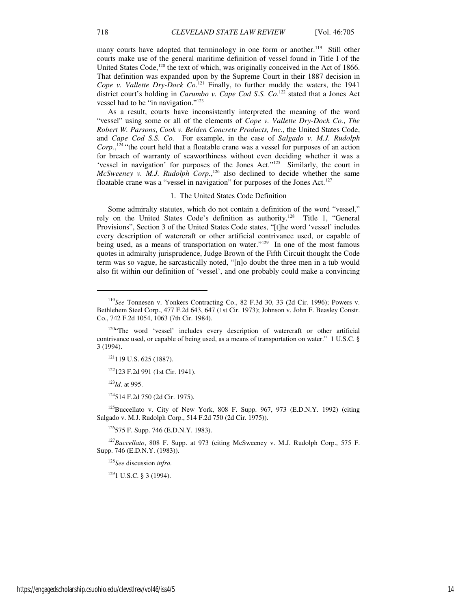many courts have adopted that terminology in one form or another.<sup>119</sup> Still other courts make use of the general maritime definition of vessel found in Title I of the United States Code, $120$  the text of which, was originally conceived in the Act of 1866. That definition was expanded upon by the Supreme Court in their 1887 decision in *Cope v. Vallette Dry-Dock Co.*<sup>121</sup> Finally, to further muddy the waters, the 1941 district court's holding in *Carumbo v. Cape Cod S.S. Co*. <sup>122</sup> stated that a Jones Act vessel had to be "in navigation."<sup>123</sup>

As a result, courts have inconsistently interpreted the meaning of the word "vessel" using some or all of the elements of *Cope v. Vallette Dry-Dock Co.*, *The Robert W. Parsons*, *Cook v. Belden Concrete Products, Inc.*, the United States Code, and *Cape Cod S.S. Co.* For example, in the case of *Salgado v. M.J. Rudolph* Corp.,<sup>124</sup> "the court held that a floatable crane was a vessel for purposes of an action for breach of warranty of seaworthiness without even deciding whether it was a 'vessel in navigation' for purposes of the Jones Act."<sup>125</sup> Similarly, the court in *McSweeney v. M.J. Rudolph Corp.*,<sup>126</sup> also declined to decide whether the same floatable crane was a "vessel in navigation" for purposes of the Jones Act.<sup>127</sup>

#### 1. The United States Code Definition

Some admiralty statutes, which do not contain a definition of the word "vessel," rely on the United States Code's definition as authority.<sup>128</sup> Title 1, "General Provisions", Section 3 of the United States Code states, "[t]he word 'vessel' includes every description of watercraft or other artificial contrivance used, or capable of being used, as a means of transportation on water."<sup>129</sup> In one of the most famous quotes in admiralty jurisprudence, Judge Brown of the Fifth Circuit thought the Code term was so vague, he sarcastically noted, "[n]o doubt the three men in a tub would also fit within our definition of 'vessel', and one probably could make a convincing

<sup>123</sup>*Id*. at 995.

1

<sup>124</sup>514 F.2d 750 (2d Cir. 1975).

<sup>125</sup>Buccellato v. City of New York, 808 F. Supp. 967, 973 (E.D.N.Y. 1992) (citing Salgado v. M.J. Rudolph Corp., 514 F.2d 750 (2d Cir. 1975)).

 $126$ 575 F. Supp. 746 (E.D.N.Y. 1983).

<sup>127</sup>*Buccellato*, 808 F. Supp. at 973 (citing McSweeney v. M.J. Rudolph Corp., 575 F. Supp. 746 (E.D.N.Y. (1983)).

<sup>128</sup>*See* discussion *infra.*

 $1291$  U.S.C. § 3 (1994).

<sup>119</sup>*See* Tonnesen v. Yonkers Contracting Co., 82 F.3d 30, 33 (2d Cir. 1996); Powers v. Bethlehem Steel Corp., 477 F.2d 643, 647 (1st Cir. 1973); Johnson v. John F. Beasley Constr. Co., 742 F.2d 1054, 1063 (7th Cir. 1984).

 $120$ "The word 'vessel' includes every description of watercraft or other artificial contrivance used, or capable of being used, as a means of transportation on water." 1 U.S.C. § 3 (1994).

<sup>&</sup>lt;sup>121</sup>119 U.S. 625 (1887).

<sup>122</sup>123 F.2d 991 (1st Cir. 1941).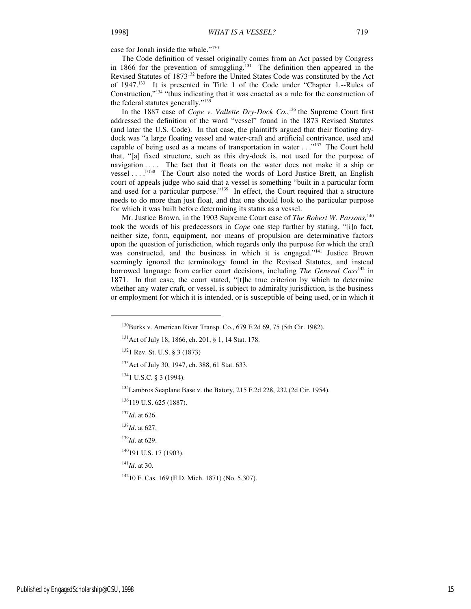case for Jonah inside the whale."<sup>130</sup>

The Code definition of vessel originally comes from an Act passed by Congress in 1866 for the prevention of smuggling.<sup>131</sup> The definition then appeared in the Revised Statutes of 1873<sup>132</sup> before the United States Code was constituted by the Act of 1947.<sup>133</sup> It is presented in Title 1 of the Code under "Chapter 1.--Rules of Construction,"<sup>134</sup> "thus indicating that it was enacted as a rule for the construction of the federal statutes generally."<sup>135</sup>

In the 1887 case of *Cope v. Vallette Dry-Dock Co.*,<sup>136</sup> the Supreme Court first addressed the definition of the word "vessel" found in the 1873 Revised Statutes (and later the U.S. Code). In that case, the plaintiffs argued that their floating drydock was "a large floating vessel and water-craft and artificial contrivance, used and capable of being used as a means of transportation in water  $\dots$ <sup>137</sup> The Court held that, "[a] fixed structure, such as this dry-dock is, not used for the purpose of navigation . . . . The fact that it floats on the water does not make it a ship or vessel . . . ."<sup>138</sup> The Court also noted the words of Lord Justice Brett, an English court of appeals judge who said that a vessel is something "built in a particular form and used for a particular purpose."<sup>139</sup> In effect, the Court required that a structure needs to do more than just float, and that one should look to the particular purpose for which it was built before determining its status as a vessel.

Mr. Justice Brown, in the 1903 Supreme Court case of *The Robert W. Parsons*, 140 took the words of his predecessors in *Cope* one step further by stating, "[i]n fact, neither size, form, equipment, nor means of propulsion are determinative factors upon the question of jurisdiction, which regards only the purpose for which the craft was constructed, and the business in which it is engaged."<sup>141</sup> Justice Brown seemingly ignored the terminology found in the Revised Statutes, and instead borrowed language from earlier court decisions, including *The General Cass*<sup>142</sup> in 1871. In that case, the court stated, "[t]he true criterion by which to determine whether any water craft, or vessel, is subject to admiralty jurisdiction, is the business or employment for which it is intended, or is susceptible of being used, or in which it

<sup>135</sup>Lambros Seaplane Base v. the Batory, 215 F.2d 228, 232 (2d Cir. 1954).

 $\overline{a}$ 

<sup>141</sup>*Id*. at 30.

<sup>&</sup>lt;sup>130</sup>Burks v. American River Transp. Co., 679 F.2d 69, 75 (5th Cir. 1982).

<sup>&</sup>lt;sup>131</sup> Act of July 18, 1866, ch. 201, § 1, 14 Stat. 178.

<sup>132</sup>1 Rev. St. U.S. § 3 (1873)

<sup>&</sup>lt;sup>133</sup> Act of July 30, 1947, ch. 388, 61 Stat. 633.

<sup>134</sup>1 U.S.C. § 3 (1994).

<sup>&</sup>lt;sup>136</sup>119 U.S. 625 (1887).

<sup>137</sup>*Id*. at 626.

<sup>138</sup>*Id*. at 627.

<sup>139</sup>*Id*. at 629.

<sup>&</sup>lt;sup>140</sup>191 U.S. 17 (1903).

<sup>142</sup>10 F. Cas. 169 (E.D. Mich. 1871) (No. 5,307).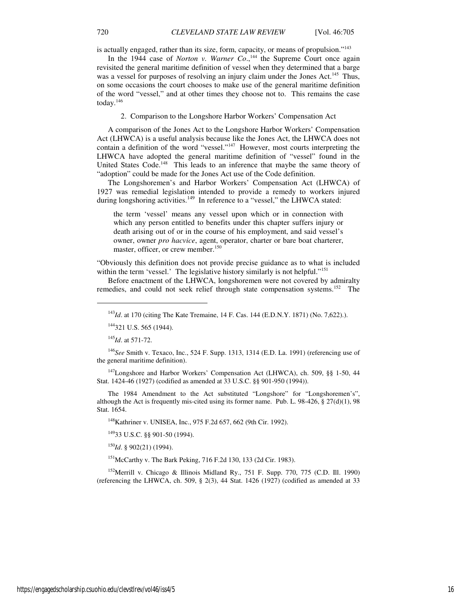is actually engaged, rather than its size, form, capacity, or means of propulsion."<sup>143</sup>

In the 1944 case of *Norton v. Warner Co.*,<sup>144</sup> the Supreme Court once again revisited the general maritime definition of vessel when they determined that a barge was a vessel for purposes of resolving an injury claim under the Jones Act.<sup>145</sup> Thus, on some occasions the court chooses to make use of the general maritime definition of the word "vessel," and at other times they choose not to. This remains the case today.<sup>146</sup>

#### 2. Comparison to the Longshore Harbor Workers' Compensation Act

A comparison of the Jones Act to the Longshore Harbor Workers' Compensation Act (LHWCA) is a useful analysis because like the Jones Act, the LHWCA does not contain a definition of the word "vessel." $147$  However, most courts interpreting the LHWCA have adopted the general maritime definition of "vessel" found in the United States Code.<sup>148</sup> This leads to an inference that maybe the same theory of "adoption" could be made for the Jones Act use of the Code definition.

The Longshoremen's and Harbor Workers' Compensation Act (LHWCA) of 1927 was remedial legislation intended to provide a remedy to workers injured during longshoring activities.<sup>149</sup> In reference to a "vessel," the LHWCA stated:

the term 'vessel' means any vessel upon which or in connection with which any person entitled to benefits under this chapter suffers injury or death arising out of or in the course of his employment, and said vessel's owner, owner *pro hacvice*, agent, operator, charter or bare boat charterer, master, officer, or crew member.<sup>150</sup>

"Obviously this definition does not provide precise guidance as to what is included within the term 'vessel.' The legislative history similarly is not helpful."<sup>151</sup>

Before enactment of the LHWCA, longshoremen were not covered by admiralty remedies, and could not seek relief through state compensation systems.<sup>152</sup> The

<sup>145</sup>*Id*. at 571-72.

j

<sup>146</sup>*See* Smith v. Texaco, Inc., 524 F. Supp. 1313, 1314 (E.D. La. 1991) (referencing use of the general maritime definition).

<sup>147</sup>Longshore and Harbor Workers' Compensation Act (LHWCA), ch. 509, §§ 1-50, 44 Stat. 1424-46 (1927) (codified as amended at 33 U.S.C. §§ 901-950 (1994)).

The 1984 Amendment to the Act substituted "Longshore" for "Longshoremen's", although the Act is frequently mis-cited using its former name. Pub. L.  $98-426$ ,  $\S 27(d)(1)$ ,  $98$ Stat. 1654.

<sup>148</sup>Kathriner v. UNISEA, Inc., 975 F.2d 657, 662 (9th Cir. 1992).

<sup>149</sup>33 U.S.C. §§ 901-50 (1994).

<sup>150</sup>*Id*. § 902(21) (1994).

 $151$ McCarthy v. The Bark Peking, 716 F.2d 130, 133 (2d Cir. 1983).

<sup>152</sup>Merrill v. Chicago & Illinois Midland Ry., 751 F. Supp. 770, 775 (C.D. Ill. 1990) (referencing the LHWCA, ch. 509,  $\S$  2(3), 44 Stat. 1426 (1927) (codified as amended at 33

<sup>143</sup>*Id*. at 170 (citing The Kate Tremaine, 14 F. Cas. 144 (E.D.N.Y. 1871) (No. 7,622).).

<sup>&</sup>lt;sup>144</sup>321 U.S. 565 (1944).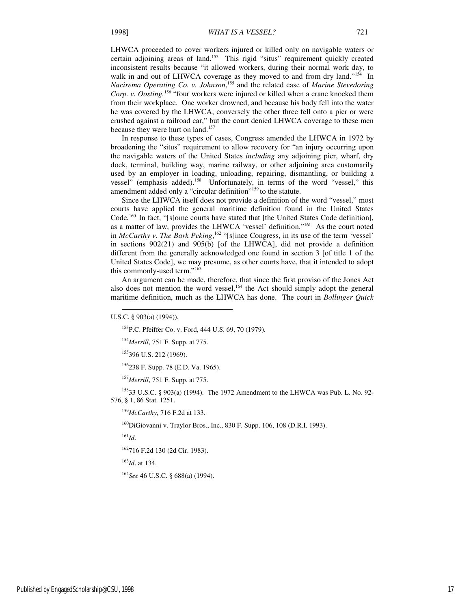LHWCA proceeded to cover workers injured or killed only on navigable waters or certain adjoining areas of land.<sup>153</sup> This rigid "situs" requirement quickly created inconsistent results because "it allowed workers, during their normal work day, to walk in and out of LHWCA coverage as they moved to and from dry land."<sup>154</sup> In *Nacirema Operating Co. v. Johnson*, <sup>155</sup> and the related case of *Marine Stevedoring Corp. v. Oosting,*<sup>156</sup> "four workers were injured or killed when a crane knocked them from their workplace. One worker drowned, and because his body fell into the water he was covered by the LHWCA; conversely the other three fell onto a pier or were crushed against a railroad car," but the court denied LHWCA coverage to these men because they were hurt on land.<sup>157</sup>

In response to these types of cases, Congress amended the LHWCA in 1972 by broadening the "situs" requirement to allow recovery for "an injury occurring upon the navigable waters of the United States *including* any adjoining pier, wharf, dry dock, terminal, building way, marine railway, or other adjoining area customarily used by an employer in loading, unloading, repairing, dismantling, or building a vessel" (emphasis added).<sup>158</sup> Unfortunately, in terms of the word "vessel," this amendment added only a "circular definition"<sup>159</sup> to the statute.

Since the LHWCA itself does not provide a definition of the word "vessel," most courts have applied the general maritime definition found in the United States Code.<sup>160</sup> In fact, "[s]ome courts have stated that [the United States Code definition], as a matter of law, provides the LHWCA 'vessel' definition."<sup>161</sup> As the court noted in *McCarthy v. The Bark Peking*,<sup>162</sup> "[s]ince Congress, in its use of the term 'vessel' in sections 902(21) and 905(b) [of the LHWCA], did not provide a definition different from the generally acknowledged one found in section 3 [of title 1 of the United States Code], we may presume, as other courts have, that it intended to adopt this commonly-used term."<sup>163</sup>

An argument can be made, therefore, that since the first proviso of the Jones Act also does not mention the word vessel,<sup>164</sup> the Act should simply adopt the general maritime definition, much as the LHWCA has done. The court in *Bollinger Quick* 

-

<sup>154</sup>*Merrill*, 751 F. Supp. at 775.

<sup>155</sup>396 U.S. 212 (1969).

<sup>156</sup>238 F. Supp. 78 (E.D. Va. 1965).

<sup>157</sup>*Merrill*, 751 F. Supp. at 775.

<sup>158</sup>33 U.S.C. § 903(a) (1994). The 1972 Amendment to the LHWCA was Pub. L. No. 92- 576, § 1, 86 Stat. 1251.

<sup>159</sup>*McCarthy*, 716 F.2d at 133.

<sup>160</sup>DiGiovanni v. Traylor Bros., Inc., 830 F. Supp. 106, 108 (D.R.I. 1993).

<sup>161</sup>*Id*.

<sup>162</sup>716 F.2d 130 (2d Cir. 1983).

<sup>163</sup>*Id*. at 134.

<sup>164</sup>*See* 46 U.S.C. § 688(a) (1994).

U.S.C. § 903(a) (1994)).

<sup>153</sup>P.C. Pfeiffer Co. v. Ford, 444 U.S. 69, 70 (1979).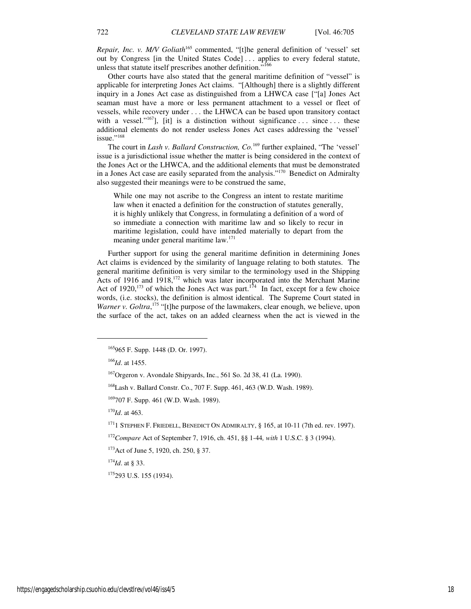*Repair, Inc. v. M/V Goliath*<sup>165</sup> commented, "[t]he general definition of 'vessel' set out by Congress [in the United States Code] . . . applies to every federal statute, unless that statute itself prescribes another definition."<sup>166</sup>

Other courts have also stated that the general maritime definition of "vessel" is applicable for interpreting Jones Act claims. "[Although] there is a slightly different inquiry in a Jones Act case as distinguished from a LHWCA case ["[a] Jones Act seaman must have a more or less permanent attachment to a vessel or fleet of vessels, while recovery under . . . the LHWCA can be based upon transitory contact with a vessel." $^{167}$ ], [it] is a distinction without significance ... since ... these additional elements do not render useless Jones Act cases addressing the 'vessel' issue."<sup>168</sup>

The court in *Lash v. Ballard Construction, Co.*<sup>169</sup> further explained, "The 'vessel' issue is a jurisdictional issue whether the matter is being considered in the context of the Jones Act or the LHWCA, and the additional elements that must be demonstrated in a Jones Act case are easily separated from the analysis."<sup>170</sup> Benedict on Admiralty also suggested their meanings were to be construed the same,

While one may not ascribe to the Congress an intent to restate maritime law when it enacted a definition for the construction of statutes generally, it is highly unlikely that Congress, in formulating a definition of a word of so immediate a connection with maritime law and so likely to recur in maritime legislation, could have intended materially to depart from the meaning under general maritime law.<sup>171</sup>

Further support for using the general maritime definition in determining Jones Act claims is evidenced by the similarity of language relating to both statutes. The general maritime definition is very similar to the terminology used in the Shipping Acts of 1916 and 1918,<sup>172</sup> which was later incorporated into the Merchant Marine Act of 1920,<sup>173</sup> of which the Jones Act was part.<sup>174</sup> In fact, except for a few choice words, (i.e. stocks), the definition is almost identical. The Supreme Court stated in Warner v. Goltra,<sup>175</sup> "[t]he purpose of the lawmakers, clear enough, we believe, upon the surface of the act, takes on an added clearness when the act is viewed in the

<sup>166</sup>*Id*. at 1455.

j

<sup>170</sup>*Id*. at 463.

 $174$ *Id.* at § 33.

<sup>175</sup>293 U.S. 155 (1934).

<sup>165</sup>965 F. Supp. 1448 (D. Or. 1997).

 $167$ Orgeron v. Avondale Shipyards, Inc., 561 So. 2d 38, 41 (La. 1990).

<sup>168</sup>Lash v. Ballard Constr. Co., 707 F. Supp. 461, 463 (W.D. Wash. 1989).

<sup>169</sup>707 F. Supp. 461 (W.D. Wash. 1989).

 $171$  STEPHEN F. FRIEDELL, BENEDICT ON ADMIRALTY, § 165, at 10-11 (7th ed. rev. 1997).

<sup>172</sup>*Compare* Act of September 7, 1916, ch. 451, §§ 1-44*, with* 1 U.S.C. § 3 (1994).

<sup>173</sup>Act of June 5, 1920, ch. 250, § 37.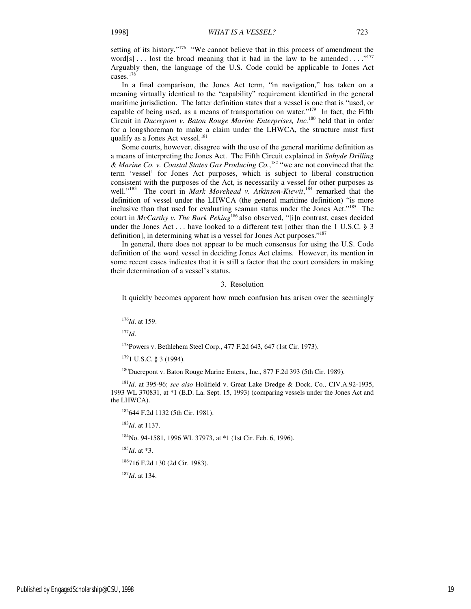setting of its history."<sup>176</sup> "We cannot believe that in this process of amendment the word[s]... lost the broad meaning that it had in the law to be amended ...."<sup>177</sup> Arguably then, the language of the U.S. Code could be applicable to Jones Act cases.<sup>178</sup>

In a final comparison, the Jones Act term, "in navigation," has taken on a meaning virtually identical to the "capability" requirement identified in the general maritime jurisdiction. The latter definition states that a vessel is one that is "used, or capable of being used, as a means of transportation on water."<sup>179</sup> In fact, the Fifth Circuit in *Ducrepont v. Baton Rouge Marine Enterprises, Inc.*<sup>180</sup> held that in order for a longshoreman to make a claim under the LHWCA, the structure must first qualify as a Jones Act vessel. $181$ 

Some courts, however, disagree with the use of the general maritime definition as a means of interpreting the Jones Act. The Fifth Circuit explained in *Sohyde Drilling & Marine Co. v. Coastal States Gas Producing Co.*, <sup>182</sup> "we are not convinced that the term 'vessel' for Jones Act purposes, which is subject to liberal construction consistent with the purposes of the Act, is necessarily a vessel for other purposes as well."<sup>183</sup> The court in *Mark Morehead v. Atkinson-Kiewit*,<sup>184</sup> remarked that the definition of vessel under the LHWCA (the general maritime definition) "is more inclusive than that used for evaluating seaman status under the Jones Act."<sup>185</sup> The court in *McCarthy v. The Bark Peking*<sup>186</sup> also observed, "[i]n contrast, cases decided under the Jones Act . . . have looked to a different test [other than the 1 U.S.C. § 3 definition], in determining what is a vessel for Jones Act purposes."<sup>187</sup>

In general, there does not appear to be much consensus for using the U.S. Code definition of the word vessel in deciding Jones Act claims. However, its mention in some recent cases indicates that it is still a factor that the court considers in making their determination of a vessel's status.

#### 3. Resolution

It quickly becomes apparent how much confusion has arisen over the seemingly

<sup>177</sup>*Id*.

j

<sup>178</sup>Powers v. Bethlehem Steel Corp., 477 F.2d 643, 647 (1st Cir. 1973).

 $1791$  U.S.C. § 3 (1994).

<sup>180</sup>Ducrepont v. Baton Rouge Marine Enters., Inc., 877 F.2d 393 (5th Cir. 1989).

<sup>181</sup>*Id*. at 395-96; *see also* Holifield v. Great Lake Dredge & Dock, Co., CIV.A.92-1935, 1993 WL 370831, at \*1 (E.D. La. Sept. 15, 1993) (comparing vessels under the Jones Act and the LHWCA).

<sup>182</sup>644 F.2d 1132 (5th Cir. 1981).

<sup>183</sup>*Id*. at 1137.

184No. 94-1581, 1996 WL 37973, at \*1 (1st Cir. Feb. 6, 1996).

<sup>185</sup>*Id*. at \*3.

<sup>186</sup>716 F.2d 130 (2d Cir. 1983).

<sup>187</sup>*Id*. at 134.

<sup>176</sup>*Id*. at 159.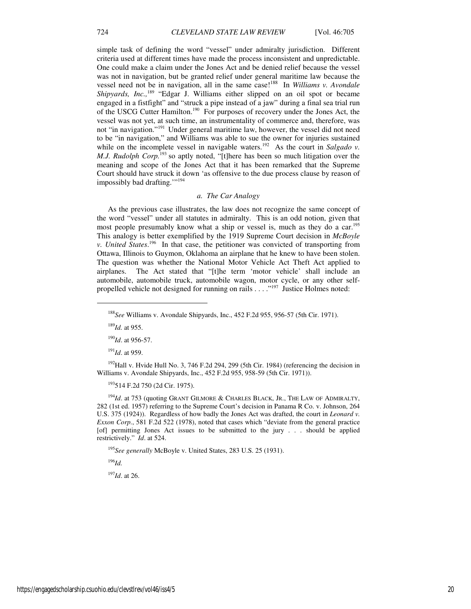simple task of defining the word "vessel" under admiralty jurisdiction. Different criteria used at different times have made the process inconsistent and unpredictable. One could make a claim under the Jones Act and be denied relief because the vessel was not in navigation, but be granted relief under general maritime law because the vessel need not be in navigation, all in the same case!<sup>188</sup> In *Williams v. Avondale Shipyards, Inc.*,<sup>189</sup> "Edgar J. Williams either slipped on an oil spot or became engaged in a fistfight" and "struck a pipe instead of a jaw" during a final sea trial run of the USCG Cutter Hamilton.<sup>190</sup> For purposes of recovery under the Jones Act, the vessel was not yet, at such time, an instrumentality of commerce and, therefore, was not "in navigation."<sup>191</sup> Under general maritime law, however, the vessel did not need to be "in navigation," and Williams was able to sue the owner for injuries sustained while on the incomplete vessel in navigable waters.<sup>192</sup> As the court in *Salgado v*. *M.J. Rudolph Corp.*<sup>193</sup> so aptly noted, "[t]here has been so much litigation over the meaning and scope of the Jones Act that it has been remarked that the Supreme Court should have struck it down 'as offensive to the due process clause by reason of impossibly bad drafting.""<sup>194</sup>

#### *a. The Car Analogy*

As the previous case illustrates, the law does not recognize the same concept of the word "vessel" under all statutes in admiralty. This is an odd notion, given that most people presumably know what a ship or vessel is, much as they do a car.<sup>195</sup> This analogy is better exemplified by the 1919 Supreme Court decision in *McBoyle v. United States*. <sup>196</sup> In that case, the petitioner was convicted of transporting from Ottawa, Illinois to Guymon, Oklahoma an airplane that he knew to have been stolen. The question was whether the National Motor Vehicle Act Theft Act applied to airplanes. The Act stated that "[t]he term 'motor vehicle' shall include an automobile, automobile truck, automobile wagon, motor cycle, or any other selfpropelled vehicle not designed for running on rails . . . . "<sup>197</sup> Justice Holmes noted:

<sup>189</sup>*Id.* at 955.

1

<sup>190</sup>*Id*. at 956-57.

<sup>191</sup>*Id*. at 959.

<sup>192</sup>Hall v. Hvide Hull No. 3, 746 F.2d 294, 299 (5th Cir. 1984) (referencing the decision in Williams v. Avondale Shipyards, Inc., 452 F.2d 955, 958-59 (5th Cir. 1971)).

<sup>193</sup>514 F.2d 750 (2d Cir. 1975).

<sup>194</sup>*Id*. at 753 (quoting GRANT GILMORE & CHARLES BLACK, JR., THE LAW OF ADMIRALTY, 282 (1st ed. 1957) referring to the Supreme Court's decision in Panama R Co. v. Johnson, 264 U.S. 375 (1924)). Regardless of how badly the Jones Act was drafted, the court in *Leonard v. Exxon Corp.*, 581 F.2d 522 (1978), noted that cases which "deviate from the general practice [of] permitting Jones Act issues to be submitted to the jury . . . should be applied restrictively." *Id*. at 524.

<sup>195</sup>*See generally* McBoyle v. United States, 283 U.S. 25 (1931).

<sup>196</sup>*Id.* 

<sup>197</sup>*Id*. at 26.

<sup>188</sup>*See* Williams v. Avondale Shipyards, Inc., 452 F.2d 955, 956-57 (5th Cir. 1971).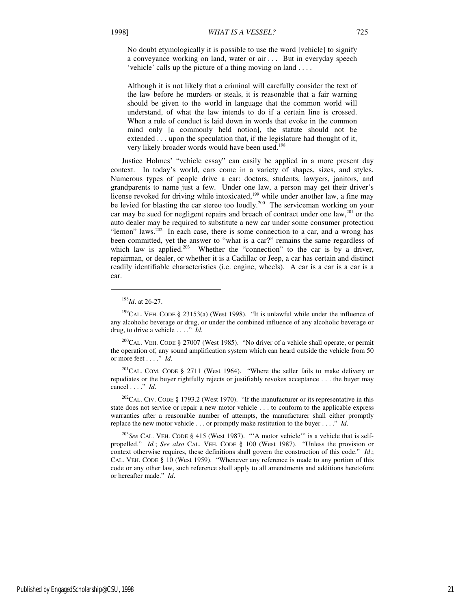No doubt etymologically it is possible to use the word [vehicle] to signify a conveyance working on land, water or air . . . But in everyday speech 'vehicle' calls up the picture of a thing moving on land . . . .

Although it is not likely that a criminal will carefully consider the text of the law before he murders or steals, it is reasonable that a fair warning should be given to the world in language that the common world will understand, of what the law intends to do if a certain line is crossed. When a rule of conduct is laid down in words that evoke in the common mind only [a commonly held notion], the statute should not be extended . . . upon the speculation that, if the legislature had thought of it, very likely broader words would have been used.<sup>198</sup>

Justice Holmes' "vehicle essay" can easily be applied in a more present day context. In today's world, cars come in a variety of shapes, sizes, and styles. Numerous types of people drive a car: doctors, students, lawyers, janitors, and grandparents to name just a few. Under one law, a person may get their driver's license revoked for driving while intoxicated,<sup>199</sup> while under another law, a fine may be levied for blasting the car stereo too loudly.<sup>200</sup> The serviceman working on your car may be sued for negligent repairs and breach of contract under one law, $^{201}$  or the auto dealer may be required to substitute a new car under some consumer protection "lemon" laws.<sup>202</sup> In each case, there is some connection to a car, and a wrong has been committed, yet the answer to "what is a car?" remains the same regardless of which law is applied.<sup>203</sup> Whether the "connection" to the car is by a driver, repairman, or dealer, or whether it is a Cadillac or Jeep, a car has certain and distinct readily identifiable characteristics (i.e. engine, wheels). A car is a car is a car is a car.

1

<sup>198</sup>*Id*. at 26-27.

<sup>&</sup>lt;sup>199</sup>CAL. VEH. CODE § 23153(a) (West 1998). "It is unlawful while under the influence of any alcoholic beverage or drug, or under the combined influence of any alcoholic beverage or drug, to drive a vehicle . . . ." *Id*.

<sup>&</sup>lt;sup>200</sup>CAL. VEH. CODE § 27007 (West 1985). "No driver of a vehicle shall operate, or permit the operation of, any sound amplification system which can heard outside the vehicle from 50 or more feet . . . ." *Id*.

 $^{201}$ CAL. COM. CODE § 2711 (West 1964). "Where the seller fails to make delivery or repudiates or the buyer rightfully rejects or justifiably revokes acceptance . . . the buyer may cancel . . . ." *Id*.

<sup>&</sup>lt;sup>202</sup>CAL. CIV. CODE § 1793.2 (West 1970). "If the manufacturer or its representative in this state does not service or repair a new motor vehicle . . . to conform to the applicable express warranties after a reasonable number of attempts, the manufacturer shall either promptly replace the new motor vehicle . . . or promptly make restitution to the buyer . . . ." *Id*.

<sup>203</sup>*See* CAL. VEH. CODE § 415 (West 1987). "'A motor vehicle'" is a vehicle that is selfpropelled." *Id.*; *See also* CAL. VEH. CODE § 100 (West 1987). "Unless the provision or context otherwise requires, these definitions shall govern the construction of this code." *Id*.; CAL. VEH. CODE § 10 (West 1959). "Whenever any reference is made to any portion of this code or any other law, such reference shall apply to all amendments and additions heretofore or hereafter made." *Id*.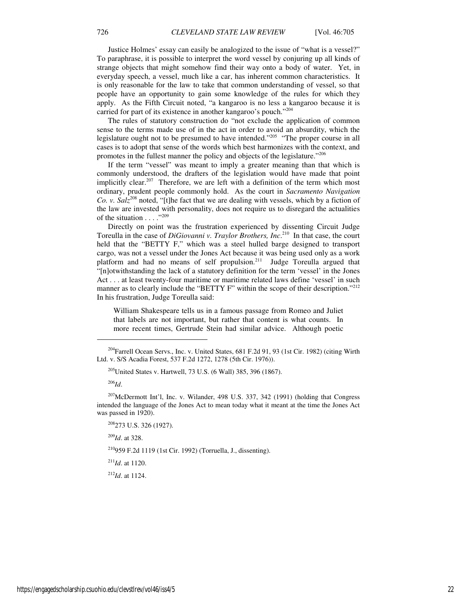Justice Holmes' essay can easily be analogized to the issue of "what is a vessel?" To paraphrase, it is possible to interpret the word vessel by conjuring up all kinds of strange objects that might somehow find their way onto a body of water. Yet, in everyday speech, a vessel, much like a car, has inherent common characteristics. It is only reasonable for the law to take that common understanding of vessel, so that people have an opportunity to gain some knowledge of the rules for which they apply. As the Fifth Circuit noted, "a kangaroo is no less a kangaroo because it is carried for part of its existence in another kangaroo's pouch."<sup>204</sup>

The rules of statutory construction do "not exclude the application of common sense to the terms made use of in the act in order to avoid an absurdity, which the legislature ought not to be presumed to have intended."<sup>205</sup> "The proper course in all cases is to adopt that sense of the words which best harmonizes with the context, and promotes in the fullest manner the policy and objects of the legislature."<sup>206</sup>

If the term "vessel" was meant to imply a greater meaning than that which is commonly understood, the drafters of the legislation would have made that point implicitly clear.<sup>207</sup> Therefore, we are left with a definition of the term which most ordinary, prudent people commonly hold. As the court in *Sacramento Navigation Co. v. Salz*<sup>208</sup> noted, "[t]he fact that we are dealing with vessels, which by a fiction of the law are invested with personality, does not require us to disregard the actualities of the situation  $\ldots$ ."<sup>209</sup>

Directly on point was the frustration experienced by dissenting Circuit Judge Toreulla in the case of *DiGiovanni v. Traylor Brothers, Inc.*<sup>210</sup> In that case, the court held that the "BETTY F," which was a steel hulled barge designed to transport cargo, was not a vessel under the Jones Act because it was being used only as a work platform and had no means of self propulsion.<sup>211</sup> Judge Toreulla argued that "[n]otwithstanding the lack of a statutory definition for the term 'vessel' in the Jones Act . . . at least twenty-four maritime or maritime related laws define 'vessel' in such manner as to clearly include the "BETTY F" within the scope of their description."<sup>212</sup> In his frustration, Judge Toreulla said:

William Shakespeare tells us in a famous passage from Romeo and Juliet that labels are not important, but rather that content is what counts. In more recent times, Gertrude Stein had similar advice. Although poetic

<sup>206</sup>*Id*.

 $\overline{a}$ 

<sup>207</sup>McDermott Int'l, Inc. v. Wilander, 498 U.S. 337, 342 (1991) (holding that Congress intended the language of the Jones Act to mean today what it meant at the time the Jones Act was passed in 1920).

<sup>209</sup>*Id*. at 328.

<sup>210</sup>959 F.2d 1119 (1st Cir. 1992) (Torruella, J., dissenting).

<sup>211</sup>*Id*. at 1120.

<sup>212</sup>*Id*. at 1124.

<sup>&</sup>lt;sup>204</sup>Farrell Ocean Servs., Inc. v. United States, 681 F.2d 91, 93 (1st Cir. 1982) (citing Wirth Ltd. v. S/S Acadia Forest, 537 F.2d 1272, 1278 (5th Cir. 1976)).

 $205$ United States v. Hartwell, 73 U.S. (6 Wall) 385, 396 (1867).

<sup>&</sup>lt;sup>208</sup>273 U.S. 326 (1927).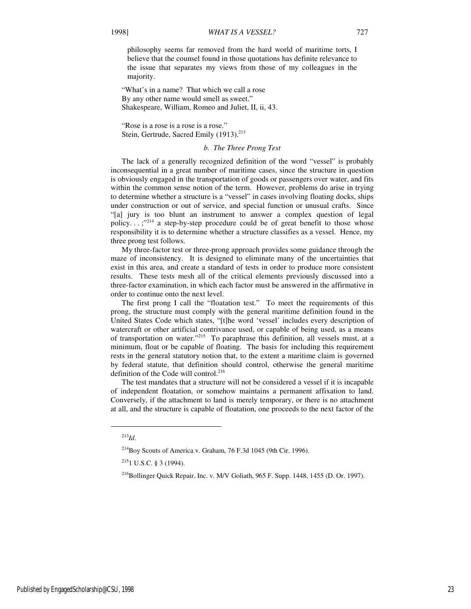philosophy seems far removed from the hard world of maritime torts, I believe that the counsel found in those quotations has definite relevance to the issue that separates my views from those of my colleagues in the majority.

"What's in a name? That which we call a rose By any other name would smell as sweet." Shakespeare, William, Romeo and Juliet, II, ii, 43.

"Rose is a rose is a rose is a rose." Stein, Gertrude, Sacred Emily (1913).<sup>213</sup>

#### *b. The Three Prong Test*

The lack of a generally recognized definition of the word "vessel" is probably inconsequential in a great number of maritime cases, since the structure in question is obviously engaged in the transportation of goods or passengers over water, and fits within the common sense notion of the term. However, problems do arise in trying to determine whether a structure is a "vessel" in cases involving floating docks, ships under construction or out of service, and special function or unusual crafts. Since "[a] jury is too blunt an instrument to answer a complex question of legal policy...;"<sup>214</sup> a step-by-step procedure could be of great benefit to those whose responsibility it is to determine whether a structure classifies as a vessel. Hence, my three prong test follows.

My three-factor test or three-prong approach provides some guidance through the maze of inconsistency. It is designed to eliminate many of the uncertainties that exist in this area, and create a standard of tests in order to produce more consistent results. These tests mesh all of the critical elements previously discussed into a three-factor examination, in which each factor must be answered in the affirmative in order to continue onto the next level.

The first prong I call the "floatation test." To meet the requirements of this prong, the structure must comply with the general maritime definition found in the United States Code which states, "[t]he word 'vessel' includes every description of watercraft or other artificial contrivance used, or capable of being used, as a means of transportation on water."<sup>215</sup> To paraphrase this definition, all vessels must, at a minimum, float or be capable of floating. The basis for including this requirement rests in the general statutory notion that, to the extent a maritime claim is governed by federal statute, that definition should control, otherwise the general maritime definition of the Code will control.<sup>216</sup>

The test mandates that a structure will not be considered a vessel if it is incapable of independent floatation, or somehow maintains a permanent affixation to land. Conversely, if the attachment to land is merely temporary, or there is no attachment at all, and the structure is capable of floatation, one proceeds to the next factor of the

j

<sup>213</sup>*Id*.

 $^{214}$ Boy Scouts of America v. Graham, 76 F.3d 1045 (9th Cir. 1996).

 $215$ <sub>1</sub> U.S.C. § 3 (1994).

<sup>&</sup>lt;sup>216</sup>Bollinger Quick Repair, Inc. v. M/V Goliath, 965 F. Supp. 1448, 1455 (D. Or. 1997).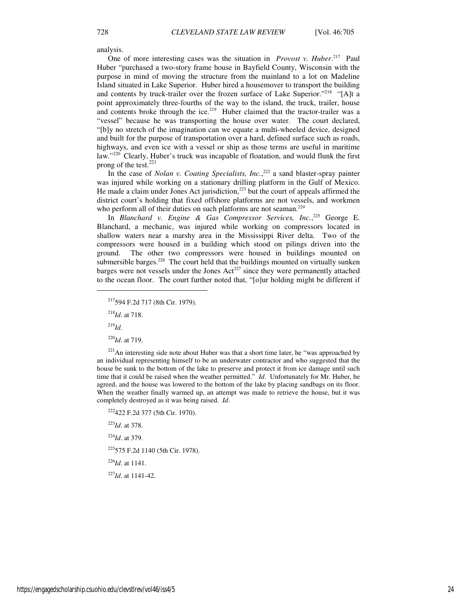analysis.

One of more interesting cases was the situation in *Provost v. Huber*. <sup>217</sup> Paul Huber "purchased a two-story frame house in Bayfield County, Wisconsin with the purpose in mind of moving the structure from the mainland to a lot on Madeline Island situated in Lake Superior. Huber hired a housemover to transport the building and contents by truck-trailer over the frozen surface of Lake Superior."<sup>218</sup> "[A]t a point approximately three-fourths of the way to the island, the truck, trailer, house and contents broke through the ice.<sup>219</sup> Huber claimed that the tractor-trailer was a "vessel" because he was transporting the house over water. The court declared, "[b]y no stretch of the imagination can we equate a multi-wheeled device, designed and built for the purpose of transportation over a hard, defined surface such as roads, highways, and even ice with a vessel or ship as those terms are useful in maritime law." $220$  Clearly, Huber's truck was incapable of floatation, and would flunk the first prong of the test.<sup>221</sup>

In the case of *Nolan v. Coating Specialists, Inc.*<sup>222</sup> a sand blaster-spray painter was injured while working on a stationary drilling platform in the Gulf of Mexico. He made a claim under Jones Act jurisdiction,<sup>223</sup> but the court of appeals affirmed the district court's holding that fixed offshore platforms are not vessels, and workmen who perform all of their duties on such platforms are not seaman.<sup>224</sup>

In *Blanchard v. Engine & Gas Compressor Services, Inc.*, <sup>225</sup> George E. Blanchard, a mechanic, was injured while working on compressors located in shallow waters near a marshy area in the Mississippi River delta. Two of the compressors were housed in a building which stood on pilings driven into the ground. The other two compressors were housed in buildings mounted on submersible barges.<sup>226</sup> The court held that the buildings mounted on virtually sunken barges were not vessels under the Jones  $Act^{227}$  since they were permanently attached to the ocean floor. The court further noted that, "[o]ur holding might be different if

<sup>217</sup>594 F.2d 717 (8th Cir. 1979).

<sup>218</sup>*Id*. at 718.

 $\overline{a}$ 

<sup>219</sup>*Id*.

<sup>220</sup>*Id*. at 719.

<sup>221</sup>An interesting side note about Huber was that a short time later, he "was approached by an individual representing himself to be an underwater contractor and who suggested that the house be sunk to the bottom of the lake to preserve and protect it from ice damage until such time that it could be raised when the weather permitted." *Id*. Unfortunately for Mr. Huber, he agreed, and the house was lowered to the bottom of the lake by placing sandbags on its floor. When the weather finally warmed up, an attempt was made to retrieve the house, but it was completely destroyed as it was being raised. *Id*.

422 F.2d 377 (5th Cir. 1970). *Id*. at 378. *Id*. at 379. 575 F.2d 1140 (5th Cir. 1978). *Id*. at 1141. *Id*. at 1141-42.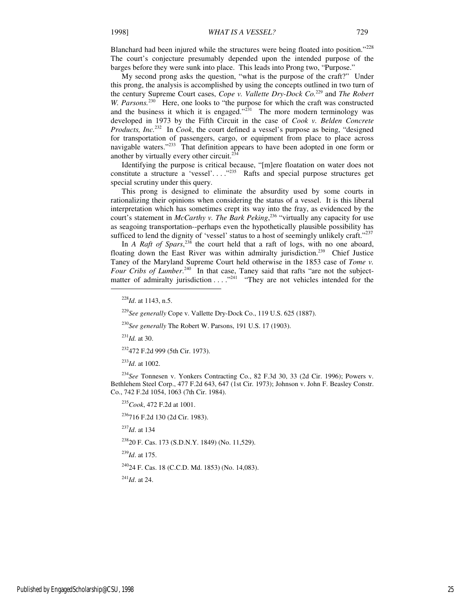Blanchard had been injured while the structures were being floated into position."<sup>228</sup> The court's conjecture presumably depended upon the intended purpose of the barges before they were sunk into place. This leads into Prong two, "Purpose."

My second prong asks the question, "what is the purpose of the craft?" Under this prong, the analysis is accomplished by using the concepts outlined in two turn of the century Supreme Court cases, *Cope v. Vallette Dry-Dock Co.*<sup>229</sup> and *The Robert*  W. Parsons.<sup>230</sup> Here, one looks to "the purpose for which the craft was constructed and the business it which it is engaged." $^{231}$  The more modern terminology was developed in 1973 by the Fifth Circuit in the case of *Cook v. Belden Concrete Products, Inc.*<sup>232</sup> In *Cook*, the court defined a vessel's purpose as being, "designed for transportation of passengers, cargo, or equipment from place to place across navigable waters."<sup>233</sup> That definition appears to have been adopted in one form or another by virtually every other circuit.<sup>234</sup>

Identifying the purpose is critical because, "[m]ere floatation on water does not constitute a structure a 'vessel'...."<sup>235</sup> Rafts and special purpose structures get special scrutiny under this query.

This prong is designed to eliminate the absurdity used by some courts in rationalizing their opinions when considering the status of a vessel. It is this liberal interpretation which has sometimes crept its way into the fray, as evidenced by the court's statement in *McCarthy v. The Bark Peking*, <sup>236</sup> "virtually any capacity for use as seagoing transportation--perhaps even the hypothetically plausible possibility has sufficed to lend the dignity of 'vessel' status to a host of seemingly unlikely craft."<sup>237</sup>

In *A Raft of Spars*, <sup>238</sup> the court held that a raft of logs, with no one aboard, floating down the East River was within admiralty jurisdiction.<sup>239</sup> Chief Justice Taney of the Maryland Supreme Court held otherwise in the 1853 case of *Tome v.*  Four Cribs of Lumber.<sup>240</sup> In that case, Taney said that rafts "are not the subjectmatter of admiralty jurisdiction  $\dots$   $\cdot$   $\cdot$   $\cdot$   $\cdot$   $\cdot$  They are not vehicles intended for the

<sup>229</sup>*See generally* Cope v. Vallette Dry-Dock Co., 119 U.S. 625 (1887).

<sup>230</sup>*See generally* The Robert W. Parsons, 191 U.S. 17 (1903).

<sup>231</sup>*Id.* at 30.

1

<sup>232</sup>472 F.2d 999 (5th Cir. 1973).

<sup>233</sup>*Id*. at 1002.

<sup>234</sup>*See* Tonnesen v. Yonkers Contracting Co., 82 F.3d 30, 33 (2d Cir. 1996); Powers v. Bethlehem Steel Corp., 477 F.2d 643, 647 (1st Cir. 1973); Johnson v. John F. Beasley Constr. Co., 742 F.2d 1054, 1063 (7th Cir. 1984).

<sup>235</sup>*Cook*, 472 F.2d at 1001.

<sup>236</sup>716 F.2d 130 (2d Cir. 1983).

<sup>237</sup>*Id*. at 134

<sup>238</sup>20 F. Cas. 173 (S.D.N.Y. 1849) (No. 11,529).

<sup>239</sup>*Id*. at 175.

<sup>240</sup>24 F. Cas. 18 (C.C.D. Md. 1853) (No. 14,083).

<sup>241</sup>*Id*. at 24.

<sup>228</sup>*Id*. at 1143, n.5.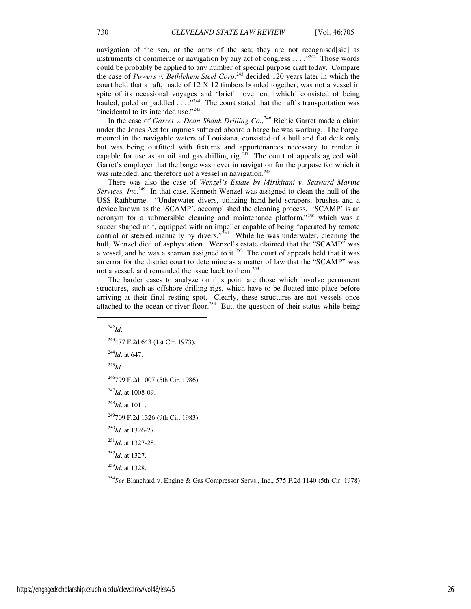navigation of the sea, or the arms of the sea; they are not recognised[sic] as instruments of commerce or navigation by any act of congress  $\dots$  ."<sup>242</sup> Those words could be probably be applied to any number of special purpose craft today. Compare the case of *Powers v. Bethlehem Steel Corp.*<sup>243</sup> decided 120 years later in which the court held that a raft, made of 12 X 12 timbers bonded together, was not a vessel in spite of its occasional voyages and "brief movement [which] consisted of being hauled, poled or paddled . . . ."<sup>244</sup> The court stated that the raft's transportation was "incidental to its intended use."<sup>245</sup>

In the case of *Garret v. Dean Shank Drilling Co.*, <sup>246</sup> Richie Garret made a claim under the Jones Act for injuries suffered aboard a barge he was working. The barge, moored in the navigable waters of Louisiana, consisted of a hull and flat deck only but was being outfitted with fixtures and appurtenances necessary to render it capable for use as an oil and gas drilling rig. $247$  The court of appeals agreed with Garret's employer that the barge was never in navigation for the purpose for which it was intended, and therefore not a vessel in navigation.<sup>248</sup>

There was also the case of *Wenzel's Estate by Mirikitani v. Seaward Marine Services, Inc.*<sup>249</sup> In that case, Kenneth Wenzel was assigned to clean the hull of the USS Rathburne. "Underwater divers, utilizing hand-held scrapers, brushes and a device known as the 'SCAMP', accomplished the cleaning process. 'SCAMP' is an acronym for a submersible cleaning and maintenance platform,"<sup>250</sup> which was a saucer shaped unit, equipped with an impeller capable of being "operated by remote control or steered manually by divers."<sup>251</sup> While he was underwater, cleaning the hull, Wenzel died of asphyxiation. Wenzel's estate claimed that the "SCAMP" was a vessel, and he was a seaman assigned to it.<sup>252</sup> The court of appeals held that it was an error for the district court to determine as a matter of law that the "SCAMP" was not a vessel, and remanded the issue back to them.<sup>253</sup>

The harder cases to analyze on this point are those which involve permanent structures, such as offshore drilling rigs, which have to be floated into place before arriving at their final resting spot. Clearly, these structures are not vessels once attached to the ocean or river floor.<sup>254</sup> But, the question of their status while being

<sup>242</sup>*Id*. 477 F.2d 643 (1st Cir. 1973). *Id*. at 647. <sup>245</sup>*Id*. 799 F.2d 1007 (5th Cir. 1986). *Id*. at 1008-09. *Id*. at 1011. 709 F.2d 1326 (9th Cir. 1983). *Id*. at 1326-27. *Id*. at 1327-28. *Id*. at 1327. *Id*. at 1328. *See* Blanchard v. Engine & Gas Compressor Servs., Inc., 575 F.2d 1140 (5th Cir. 1978)

1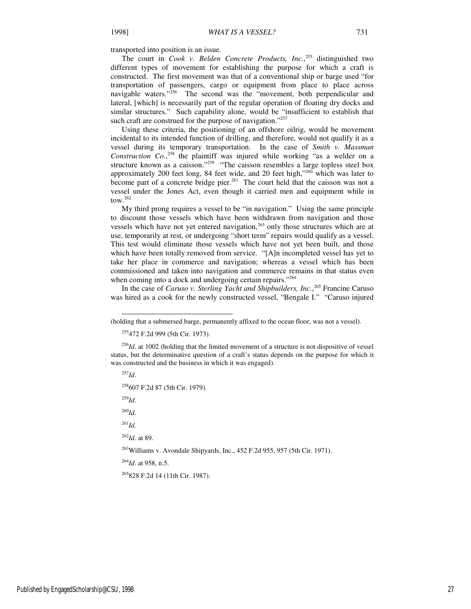transported into position is an issue.

The court in *Cook v. Belden Concrete Products, Inc.*, <sup>255</sup> distinguished two different types of movement for establishing the purpose for which a craft is constructed. The first movement was that of a conventional ship or barge used "for transportation of passengers, cargo or equipment from place to place across navigable waters."<sup>256</sup> The second was the "movement, both perpendicular and lateral, [which] is necessarily part of the regular operation of floating dry docks and similar structures." Such capability alone, would be "insufficient to establish that such craft are construed for the purpose of navigation."<sup>257</sup>

Using these criteria, the positioning of an offshore oilrig, would be movement incidental to its intended function of drilling, and therefore, would not qualify it as a vessel during its temporary transportation. In the case of *Smith v. Massman Construction Co.*, <sup>258</sup> the plaintiff was injured while working "as a welder on a structure known as a caisson."<sup>259</sup> "The caisson resembles a large topless steel box approximately 200 feet long, 84 feet wide, and 20 feet high," $260$  which was later to become part of a concrete bridge pier.<sup>261</sup> The court held that the caisson was not a vessel under the Jones Act, even though it carried men and equipment while in tow $262$ 

My third prong requires a vessel to be "in navigation." Using the same principle to discount those vessels which have been withdrawn from navigation and those vessels which have not yet entered navigation, $263$  only those structures which are at use, temporarily at rest, or undergoing "short term" repairs would qualify as a vessel. This test would eliminate those vessels which have not yet been built, and those which have been totally removed from service. "[A]n incompleted vessel has yet to take her place in commerce and navigation; whereas a vessel which has been commissioned and taken into navigation and commerce remains in that status even when coming into a dock and undergoing certain repairs."264

In the case of *Caruso v. Sterling Yacht and Shipbuilders, Inc.*, <sup>265</sup> Francine Caruso was hired as a cook for the newly constructed vessel, "Bengale I." "Caruso injured

<sup>257</sup>*Id*.

-

<sup>258</sup>607 F.2d 87 (5th Cir. 1979).

<sup>259</sup>*Id*.

<sup>260</sup>*Id*.

<sup>261</sup>*Id*.

<sup>262</sup>*Id*. at 89.

<sup>263</sup>Williams v. Avondale Shipyards, Inc., 452 F.2d 955, 957 (5th Cir. 1971).

<sup>264</sup>*Id*. at 958, n.5.

<sup>265</sup>828 F.2d 14 (11th Cir. 1987).

<sup>(</sup>holding that a submersed barge, permanently affixed to the ocean floor, was not a vessel).

<sup>255</sup>472 F.2d 999 (5th Cir. 1973).

<sup>&</sup>lt;sup>256</sup>*Id*. at 1002 (holding that the limited movement of a structure is not dispositive of vessel status, but the determinative question of a craft's status depends on the purpose for which it was constructed and the business in which it was engaged).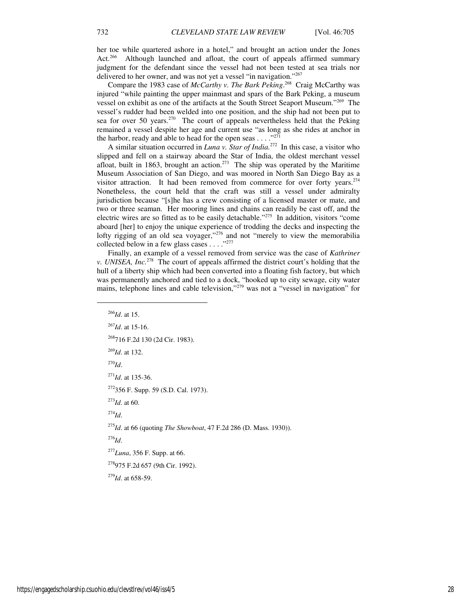her toe while quartered ashore in a hotel," and brought an action under the Jones Act.<sup>266</sup> Although launched and afloat, the court of appeals affirmed summary judgment for the defendant since the vessel had not been tested at sea trials nor delivered to her owner, and was not yet a vessel "in navigation."267

Compare the 1983 case of *McCarthy v. The Bark Peking*.<sup>268</sup> Craig McCarthy was injured "while painting the upper mainmast and spars of the Bark Peking, a museum vessel on exhibit as one of the artifacts at the South Street Seaport Museum."<sup>269</sup> The vessel's rudder had been welded into one position, and the ship had not been put to sea for over 50 years.<sup>270</sup> The court of appeals nevertheless held that the Peking remained a vessel despite her age and current use "as long as she rides at anchor in the harbor, ready and able to head for the open seas . . . ."<sup>271</sup>

A similar situation occurred in *Luna v. Star of India.*<sup>272</sup> In this case, a visitor who slipped and fell on a stairway aboard the Star of India, the oldest merchant vessel afloat, built in 1863, brought an action.<sup>273</sup> The ship was operated by the Maritime Museum Association of San Diego, and was moored in North San Diego Bay as a visitor attraction. It had been removed from commerce for over forty years.<sup>274</sup> Nonetheless, the court held that the craft was still a vessel under admiralty jurisdiction because "[s]he has a crew consisting of a licensed master or mate, and two or three seaman. Her mooring lines and chains can readily be cast off, and the electric wires are so fitted as to be easily detachable."<sup>275</sup> In addition, visitors "come aboard [her] to enjoy the unique experience of trodding the decks and inspecting the lofty rigging of an old sea voyager,"<sup>276</sup> and not "merely to view the memorabilia collected below in a few glass cases  $\ldots$ ."<sup>277</sup>

Finally, an example of a vessel removed from service was the case of *Kathriner v. UNISEA, Inc.*<sup>278</sup> The court of appeals affirmed the district court's holding that the hull of a liberty ship which had been converted into a floating fish factory, but which was permanently anchored and tied to a dock, "hooked up to city sewage, city water mains, telephone lines and cable television,"<sup>279</sup> was not a "vessel in navigation" for

<sup>279</sup>*Id*. at 658-59.

1

<sup>266</sup>*Id*. at 15. <sup>267</sup>*Id*. at 15-16. <sup>268</sup>716 F.2d 130 (2d Cir. 1983). <sup>269</sup>*Id*. at 132. <sup>270</sup>*Id*. <sup>271</sup>*Id*. at 135-36. <sup>272</sup>356 F. Supp. 59 (S.D. Cal. 1973). <sup>273</sup>*Id*. at 60. <sup>274</sup>*Id*. <sup>275</sup>*Id*. at 66 (quoting *The Showboat*, 47 F.2d 286 (D. Mass. 1930)). <sup>276</sup>*Id*. <sup>277</sup>*Luna*, 356 F. Supp. at 66. <sup>278</sup>975 F.2d 657 (9th Cir. 1992).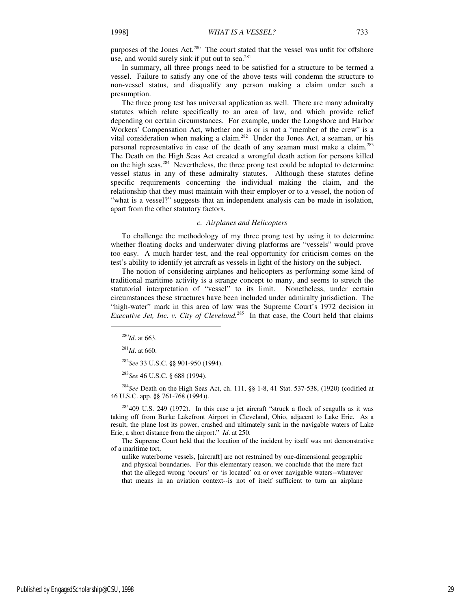In summary, all three prongs need to be satisfied for a structure to be termed a vessel. Failure to satisfy any one of the above tests will condemn the structure to non-vessel status, and disqualify any person making a claim under such a presumption.

The three prong test has universal application as well. There are many admiralty statutes which relate specifically to an area of law, and which provide relief depending on certain circumstances. For example, under the Longshore and Harbor Workers' Compensation Act, whether one is or is not a "member of the crew" is a vital consideration when making a claim.<sup>282</sup> Under the Jones Act, a seaman, or his personal representative in case of the death of any seaman must make a claim.<sup>283</sup> The Death on the High Seas Act created a wrongful death action for persons killed on the high seas.<sup>284</sup> Nevertheless, the three prong test could be adopted to determine vessel status in any of these admiralty statutes. Although these statutes define specific requirements concerning the individual making the claim, and the relationship that they must maintain with their employer or to a vessel, the notion of "what is a vessel?" suggests that an independent analysis can be made in isolation, apart from the other statutory factors.

#### *c. Airplanes and Helicopters*

To challenge the methodology of my three prong test by using it to determine whether floating docks and underwater diving platforms are "vessels" would prove too easy. A much harder test, and the real opportunity for criticism comes on the test's ability to identify jet aircraft as vessels in light of the history on the subject.

The notion of considering airplanes and helicopters as performing some kind of traditional maritime activity is a strange concept to many, and seems to stretch the statutorial interpretation of "vessel" to its limit. Nonetheless, under certain circumstances these structures have been included under admiralty jurisdiction. The "high-water" mark in this area of law was the Supreme Court's 1972 decision in *Executive Jet, Inc. v. City of Cleveland.*<sup>285</sup> In that case, the Court held that claims

1

<sup>282</sup>*See* 33 U.S.C. §§ 901-950 (1994).

<sup>283</sup>*See* 46 U.S.C. § 688 (1994).

<sup>284</sup>*See* Death on the High Seas Act, ch. 111, §§ 1-8, 41 Stat. 537-538, (1920) (codified at 46 U.S.C. app. §§ 761-768 (1994)).

 $285409$  U.S. 249 (1972). In this case a jet aircraft "struck a flock of seagulls as it was taking off from Burke Lakefront Airport in Cleveland, Ohio, adjacent to Lake Erie. As a result, the plane lost its power, crashed and ultimately sank in the navigable waters of Lake Erie, a short distance from the airport." *Id*. at 250.

The Supreme Court held that the location of the incident by itself was not demonstrative of a maritime tort,

unlike waterborne vessels, [aircraft] are not restrained by one-dimensional geographic and physical boundaries. For this elementary reason, we conclude that the mere fact that the alleged wrong 'occurs' or 'is located' on or over navigable waters--whatever that means in an aviation context--is not of itself sufficient to turn an airplane

<sup>280</sup>*Id*. at 663.

<sup>281</sup>*Id*. at 660.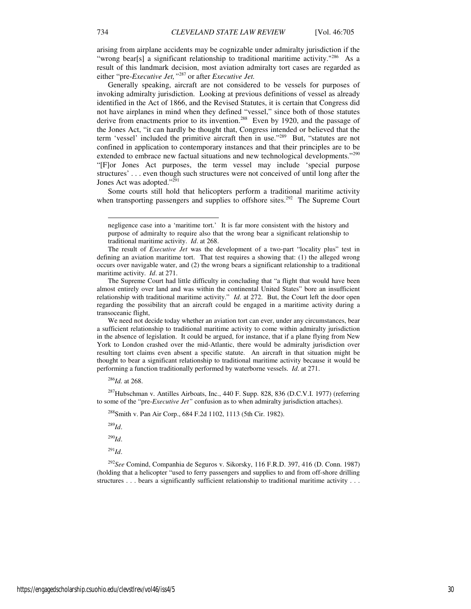arising from airplane accidents may be cognizable under admiralty jurisdiction if the "wrong bear[s] a significant relationship to traditional maritime activity."<sup>286</sup> As a result of this landmark decision, most aviation admiralty tort cases are regarded as either "pre-*Executive Jet,"*<sup>287</sup> or after *Executive Jet.*

Generally speaking, aircraft are not considered to be vessels for purposes of invoking admiralty jurisdiction. Looking at previous definitions of vessel as already identified in the Act of 1866, and the Revised Statutes, it is certain that Congress did not have airplanes in mind when they defined "vessel," since both of those statutes derive from enactments prior to its invention.<sup>288</sup> Even by 1920, and the passage of the Jones Act, "it can hardly be thought that, Congress intended or believed that the term 'vessel' included the primitive aircraft then in use."<sup>289</sup> But, "statutes are not confined in application to contemporary instances and that their principles are to be extended to embrace new factual situations and new technological developments."<sup>290</sup> "[F]or Jones Act purposes, the term vessel may include 'special purpose structures' . . . even though such structures were not conceived of until long after the Jones Act was adopted."<sup>291</sup>

Some courts still hold that helicopters perform a traditional maritime activity when transporting passengers and supplies to offshore sites.<sup>292</sup> The Supreme Court

We need not decide today whether an aviation tort can ever, under any circumstances, bear a sufficient relationship to traditional maritime activity to come within admiralty jurisdiction in the absence of legislation. It could be argued, for instance, that if a plane flying from New York to London crashed over the mid-Atlantic, there would be admiralty jurisdiction over resulting tort claims even absent a specific statute. An aircraft in that situation might be thought to bear a significant relationship to traditional maritime activity because it would be performing a function traditionally performed by waterborne vessels. *Id*. at 271.

<sup>286</sup>*Id.* at 268.

<sup>287</sup>Hubschman v. Antilles Airboats, Inc., 440 F. Supp. 828, 836 (D.C.V.I. 1977) (referring to some of the "pre-*Executive Jet"* confusion as to when admiralty jurisdiction attaches).

<sup>288</sup>Smith v. Pan Air Corp., 684 F.2d 1102, 1113 (5th Cir. 1982).

<sup>289</sup>*Id*.

<sup>290</sup>*Id*.

<sup>291</sup>*Id*.

<sup>292</sup>*See* Comind, Companhia de Seguros v. Sikorsky, 116 F.R.D. 397, 416 (D. Conn. 1987) (holding that a helicopter "used to ferry passengers and supplies to and from off-shore drilling structures . . . bears a significantly sufficient relationship to traditional maritime activity . . .

-

negligence case into a 'maritime tort.' It is far more consistent with the history and purpose of admiralty to require also that the wrong bear a significant relationship to traditional maritime activity. *Id*. at 268.

The result of *Executive Jet* was the development of a two-part "locality plus" test in defining an aviation maritime tort. That test requires a showing that: (1) the alleged wrong occurs over navigable water, and (2) the wrong bears a significant relationship to a traditional maritime activity. *Id*. at 271.

The Supreme Court had little difficulty in concluding that "a flight that would have been almost entirely over land and was within the continental United States" bore an insufficient relationship with traditional maritime activity." *Id*. at 272. But, the Court left the door open regarding the possibility that an aircraft could be engaged in a maritime activity during a transoceanic flight,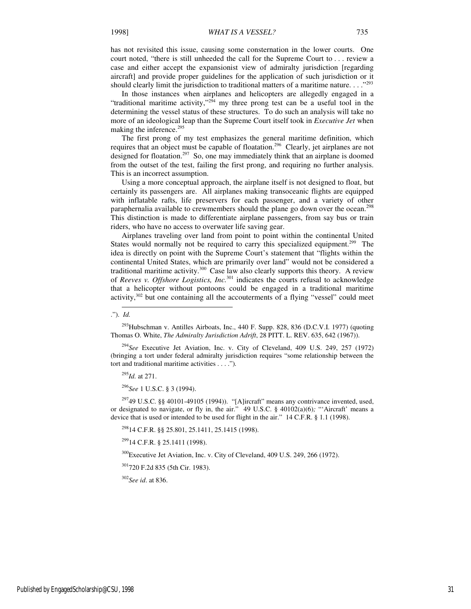has not revisited this issue, causing some consternation in the lower courts. One court noted, "there is still unheeded the call for the Supreme Court to . . . review a case and either accept the expansionist view of admiralty jurisdiction [regarding aircraft] and provide proper guidelines for the application of such jurisdiction or it should clearly limit the jurisdiction to traditional matters of a maritime nature.  $\ldots$ <sup>293</sup>

In those instances when airplanes and helicopters are allegedly engaged in a "traditional maritime activity," $2^{94}$  my three prong test can be a useful tool in the determining the vessel status of these structures. To do such an analysis will take no more of an ideological leap than the Supreme Court itself took in *Executive Jet* when making the inference.<sup>295</sup>

The first prong of my test emphasizes the general maritime definition, which requires that an object must be capable of floatation.<sup>296</sup> Clearly, jet airplanes are not designed for floatation.<sup>297</sup> So, one may immediately think that an airplane is doomed from the outset of the test, failing the first prong, and requiring no further analysis. This is an incorrect assumption.

Using a more conceptual approach, the airplane itself is not designed to float, but certainly its passengers are. All airplanes making transoceanic flights are equipped with inflatable rafts, life preservers for each passenger, and a variety of other paraphernalia available to crewmembers should the plane go down over the ocean.<sup>298</sup> This distinction is made to differentiate airplane passengers, from say bus or train riders, who have no access to overwater life saving gear.

Airplanes traveling over land from point to point within the continental United States would normally not be required to carry this specialized equipment.<sup>299</sup> The idea is directly on point with the Supreme Court's statement that "flights within the continental United States, which are primarily over land" would not be considered a traditional maritime activity. $300$  Case law also clearly supports this theory. A review of *Reeves v. Offshore Logistics, Inc.*<sup>301</sup> indicates the courts refusal to acknowledge that a helicopter without pontoons could be engaged in a traditional maritime activity, $302$  but one containing all the accouterments of a flying "vessel" could meet

 $^{293}$ Hubschman v. Antilles Airboats, Inc., 440 F. Supp. 828, 836 (D.C.V.I. 1977) (quoting Thomas O. White, *The Admiralty Jurisdiction Adrift*, 28 PITT. L. REV. 635, 642 (1967)).

<sup>294</sup>*See* Executive Jet Aviation, Inc. v. City of Cleveland, 409 U.S. 249, 257 (1972) (bringing a tort under federal admiralty jurisdiction requires "some relationship between the tort and traditional maritime activities . . . .")*.*

<sup>295</sup>*Id.* at 271.

<sup>296</sup>*See* 1 U.S.C. § 3 (1994).

 $29749$  U.S.C. §§ 40101-49105 (1994)). "[A]ircraft" means any contrivance invented, used, or designated to navigate, or fly in, the air." 49 U.S.C. § 40102(a)(6)*;* "'Aircraft' means a device that is used or intended to be used for flight in the air." 14 C.F.R. § 1.1 (1998).

<sup>298</sup>14 C.F.R. §§ 25.801, 25.1411, 25.1415 (1998).

<sup>299</sup>14 C.F.R. § 25.1411 (1998).

 $300$ Executive Jet Aviation, Inc. v. City of Cleveland, 409 U.S. 249, 266 (1972).

<sup>301</sup>720 F.2d 835 (5th Cir. 1983).

<sup>302</sup>*See id*. at 836.

l ."). *Id.*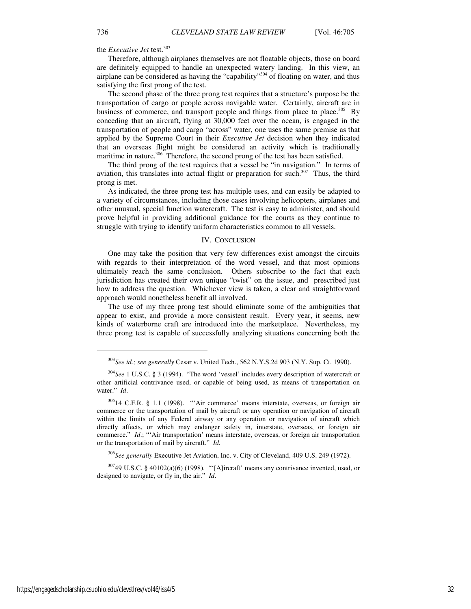the *Executive Jet* test.<sup>303</sup>

Therefore, although airplanes themselves are not floatable objects, those on board are definitely equipped to handle an unexpected watery landing. In this view, an airplane can be considered as having the "capability"<sup>304</sup> of floating on water, and thus satisfying the first prong of the test.

The second phase of the three prong test requires that a structure's purpose be the transportation of cargo or people across navigable water. Certainly, aircraft are in business of commerce, and transport people and things from place to place.<sup>305</sup> By conceding that an aircraft, flying at 30,000 feet over the ocean, is engaged in the transportation of people and cargo "across" water, one uses the same premise as that applied by the Supreme Court in their *Executive Jet* decision when they indicated that an overseas flight might be considered an activity which is traditionally maritime in nature.<sup>306</sup> Therefore, the second prong of the test has been satisfied.

The third prong of the test requires that a vessel be "in navigation." In terms of aviation, this translates into actual flight or preparation for such.<sup>307</sup> Thus, the third prong is met.

As indicated, the three prong test has multiple uses, and can easily be adapted to a variety of circumstances, including those cases involving helicopters, airplanes and other unusual, special function watercraft. The test is easy to administer, and should prove helpful in providing additional guidance for the courts as they continue to struggle with trying to identify uniform characteristics common to all vessels.

#### IV. CONCLUSION

One may take the position that very few differences exist amongst the circuits with regards to their interpretation of the word vessel, and that most opinions ultimately reach the same conclusion. Others subscribe to the fact that each jurisdiction has created their own unique "twist" on the issue, and prescribed just how to address the question. Whichever view is taken, a clear and straightforward approach would nonetheless benefit all involved.

The use of my three prong test should eliminate some of the ambiguities that appear to exist, and provide a more consistent result. Every year, it seems, new kinds of waterborne craft are introduced into the marketplace. Nevertheless, my three prong test is capable of successfully analyzing situations concerning both the

<sup>306</sup>*See generally* Executive Jet Aviation, Inc. v. City of Cleveland, 409 U.S. 249 (1972).

 $30749$  U.S.C. § 40102(a)(6) (1998). "'[A]ircraft' means any contrivance invented, used, or designed to navigate, or fly in, the air." *Id*.

j

<sup>303</sup>*See id.; see generally* Cesar v. United Tech., 562 N.Y.S.2d 903 (N.Y. Sup. Ct. 1990).

<sup>304</sup>*See* 1 U.S.C. § 3 (1994). "The word 'vessel' includes every description of watercraft or other artificial contrivance used, or capable of being used, as means of transportation on water." *Id*.

<sup>305</sup>14 C.F.R. § 1.1 (1998). "'Air commerce' means interstate, overseas, or foreign air commerce or the transportation of mail by aircraft or any operation or navigation of aircraft within the limits of any Federal airway or any operation or navigation of aircraft which directly affects, or which may endanger safety in, interstate, overseas, or foreign air commerce." *Id.*; "'Air transportation' means interstate, overseas, or foreign air transportation or the transportation of mail by aircraft." *Id.*